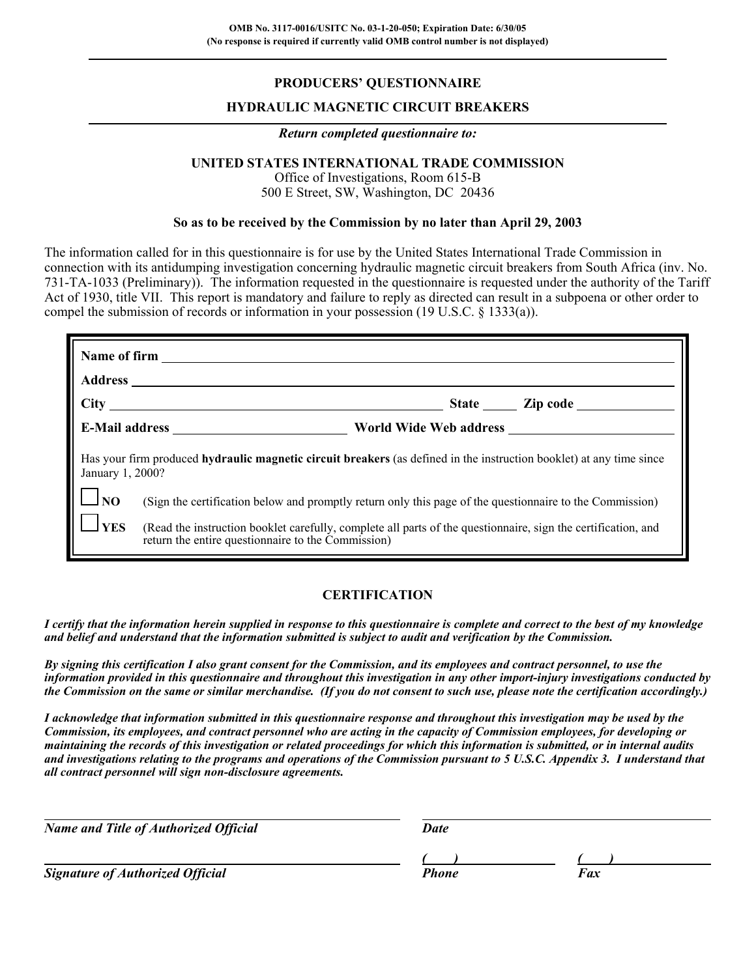## **PRODUCERS' QUESTIONNAIRE**

### **HYDRAULIC MAGNETIC CIRCUIT BREAKERS**

#### *Return completed questionnaire to:*

## **UNITED STATES INTERNATIONAL TRADE COMMISSION**

Office of Investigations, Room 615-B 500 E Street, SW, Washington, DC 20436

### **So as to be received by the Commission by no later than April 29, 2003**

The information called for in this questionnaire is for use by the United States International Trade Commission in connection with its antidumping investigation concerning hydraulic magnetic circuit breakers from South Africa (inv. No. 731-TA-1033 (Preliminary)). The information requested in the questionnaire is requested under the authority of the Tariff Act of 1930, title VII. This report is mandatory and failure to reply as directed can result in a subpoena or other order to compel the submission of records or information in your possession (19 U.S.C. § 1333(a)).

|                                  | Has your firm produced hydraulic magnetic circuit breakers (as defined in the instruction booklet) at any time since<br>January 1, 2000?                            |  |  |  |  |  |
|----------------------------------|---------------------------------------------------------------------------------------------------------------------------------------------------------------------|--|--|--|--|--|
| $\lfloor \cdot \rfloor_{\rm NO}$ | (Sign the certification below and promptly return only this page of the questionnaire to the Commission)                                                            |  |  |  |  |  |
| $\mathbf{Y}$ ES                  | (Read the instruction booklet carefully, complete all parts of the questionnaire, sign the certification, and<br>return the entire questionnaire to the Commission) |  |  |  |  |  |

### **CERTIFICATION**

*I certify that the information herein supplied in response to this questionnaire is complete and correct to the best of my knowledge and belief and understand that the information submitted is subject to audit and verification by the Commission.*

*By signing this certification I also grant consent for the Commission, and its employees and contract personnel, to use the information provided in this questionnaire and throughout this investigation in any other import-injury investigations conducted by the Commission on the same or similar merchandise. (If you do not consent to such use, please note the certification accordingly.)*

*I acknowledge that information submitted in this questionnaire response and throughout this investigation may be used by the Commission, its employees, and contract personnel who are acting in the capacity of Commission employees, for developing or maintaining the records of this investigation or related proceedings for which this information is submitted, or in internal audits and investigations relating to the programs and operations of the Commission pursuant to 5 U.S.C. Appendix 3. I understand that all contract personnel will sign non-disclosure agreements.*

| <b>Name and Title of Authorized Official</b> | Date  |     |  |
|----------------------------------------------|-------|-----|--|
|                                              |       |     |  |
| <b>Signature of Authorized Official</b>      | Phone | Fax |  |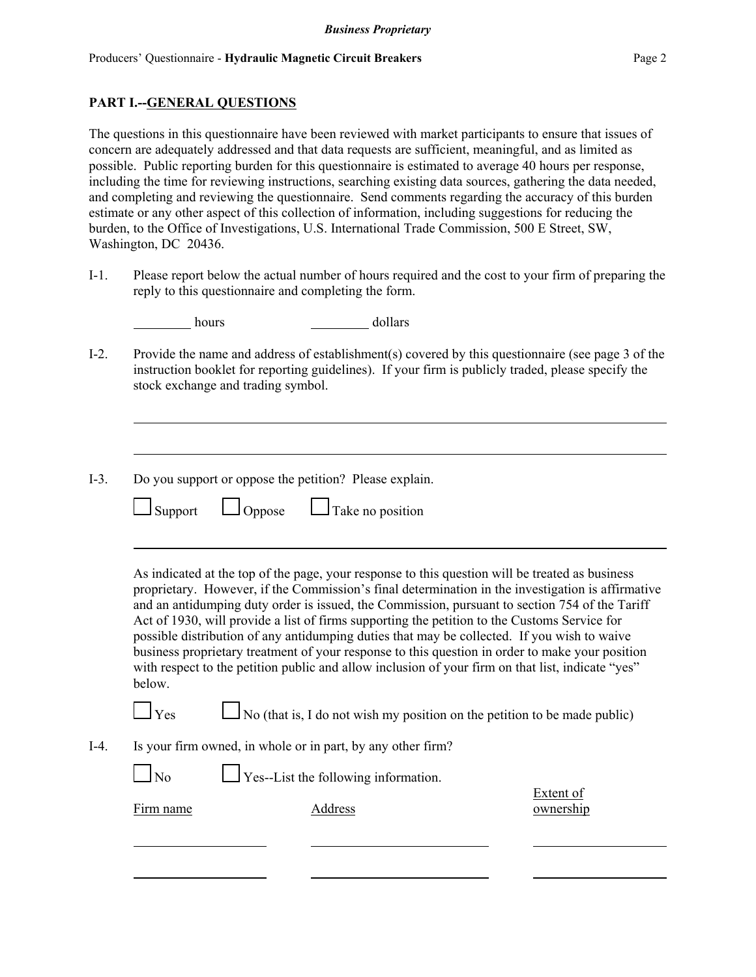hours dollars

### **PART I.--GENERAL QUESTIONS**

The questions in this questionnaire have been reviewed with market participants to ensure that issues of concern are adequately addressed and that data requests are sufficient, meaningful, and as limited as possible. Public reporting burden for this questionnaire is estimated to average 40 hours per response, including the time for reviewing instructions, searching existing data sources, gathering the data needed, and completing and reviewing the questionnaire. Send comments regarding the accuracy of this burden estimate or any other aspect of this collection of information, including suggestions for reducing the burden, to the Office of Investigations, U.S. International Trade Commission, 500 E Street, SW, Washington, DC 20436.

I-1. Please report below the actual number of hours required and the cost to your firm of preparing the reply to this questionnaire and completing the form.

| $I-2$ .            | stock exchange and trading symbol.                                                   | Provide the name and address of establishment(s) covered by this questionnaire (see page 3 of the<br>instruction booklet for reporting guidelines). If your firm is publicly traded, please specify the                                                                                                                                                                                                                                                                                                                                                                                                                                                                                                       |
|--------------------|--------------------------------------------------------------------------------------|---------------------------------------------------------------------------------------------------------------------------------------------------------------------------------------------------------------------------------------------------------------------------------------------------------------------------------------------------------------------------------------------------------------------------------------------------------------------------------------------------------------------------------------------------------------------------------------------------------------------------------------------------------------------------------------------------------------|
| $I-3$ .<br>Support | Do you support or oppose the petition? Please explain.<br>Oppose<br>Take no position |                                                                                                                                                                                                                                                                                                                                                                                                                                                                                                                                                                                                                                                                                                               |
| below.             |                                                                                      | As indicated at the top of the page, your response to this question will be treated as business<br>proprietary. However, if the Commission's final determination in the investigation is affirmative<br>and an antidumping duty order is issued, the Commission, pursuant to section 754 of the Tariff<br>Act of 1930, will provide a list of firms supporting the petition to the Customs Service for<br>possible distribution of any antidumping duties that may be collected. If you wish to waive<br>business proprietary treatment of your response to this question in order to make your position<br>with respect to the petition public and allow inclusion of your firm on that list, indicate "yes" |
| $\mathbf{Y}$ es    |                                                                                      | $\Box$ No (that is, I do not wish my position on the petition to be made public)                                                                                                                                                                                                                                                                                                                                                                                                                                                                                                                                                                                                                              |
|                    | Is your firm owned, in whole or in part, by any other firm?                          |                                                                                                                                                                                                                                                                                                                                                                                                                                                                                                                                                                                                                                                                                                               |
| No                 | Yes--List the following information.                                                 |                                                                                                                                                                                                                                                                                                                                                                                                                                                                                                                                                                                                                                                                                                               |
| Firm name          | <b>Address</b>                                                                       | <b>Extent of</b><br>ownership                                                                                                                                                                                                                                                                                                                                                                                                                                                                                                                                                                                                                                                                                 |
|                    |                                                                                      |                                                                                                                                                                                                                                                                                                                                                                                                                                                                                                                                                                                                                                                                                                               |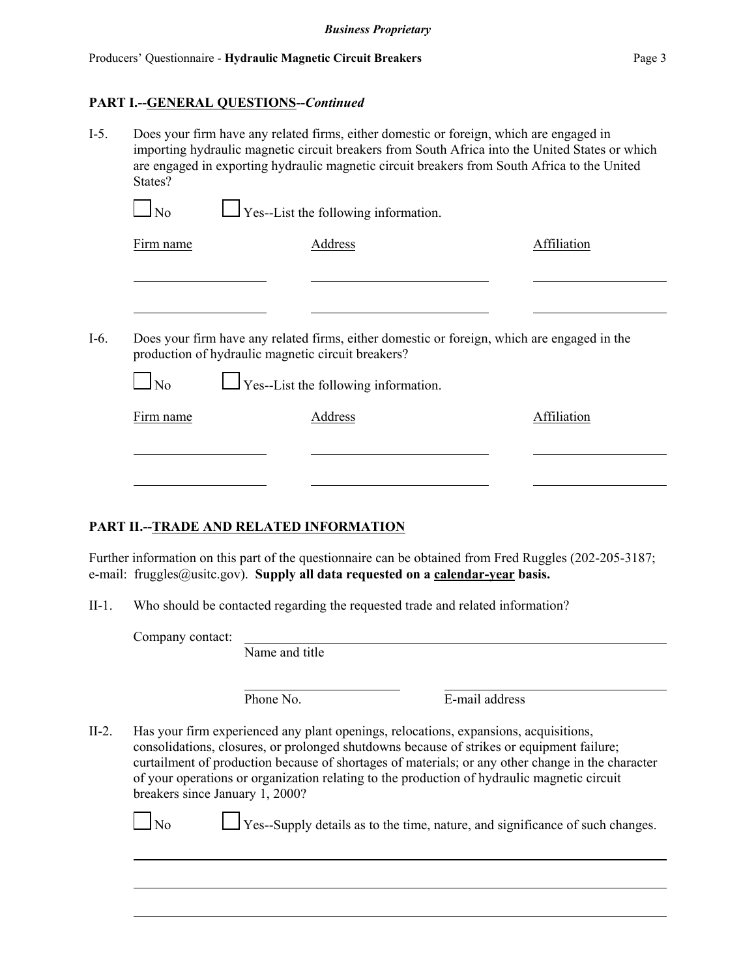### **PART I.--GENERAL QUESTIONS--***Continued*

I-5. Does your firm have any related firms, either domestic or foreign, which are engaged in importing hydraulic magnetic circuit breakers from South Africa into the United States or which are engaged in exporting hydraulic magnetic circuit breakers from South Africa to the United States?

| Firm name | Address                                                                                           | Affiliation |
|-----------|---------------------------------------------------------------------------------------------------|-------------|
|           |                                                                                                   |             |
|           |                                                                                                   |             |
|           |                                                                                                   |             |
|           | Does your firm have any related firms, either domestic or foreign, which are engaged in the       |             |
| $\Box$ No | production of hydraulic magnetic circuit breakers?<br>$\Box$ Yes--List the following information. |             |
| Firm name | Address                                                                                           | Affiliation |

### **PART II.--TRADE AND RELATED INFORMATION**

Further information on this part of the questionnaire can be obtained from Fred Ruggles (202-205-3187; e-mail: fruggles@usitc.gov). **Supply all data requested on a calendar-year basis.** 

II-1. Who should be contacted regarding the requested trade and related information?

Company contact: Name and title

Phone No. **E**-mail address

II-2. Has your firm experienced any plant openings, relocations, expansions, acquisitions, consolidations, closures, or prolonged shutdowns because of strikes or equipment failure; curtailment of production because of shortages of materials; or any other change in the character of your operations or organization relating to the production of hydraulic magnetic circuit breakers since January 1, 2000?

 $\Box$  No  $\Box$  Yes--Supply details as to the time, nature, and significance of such changes.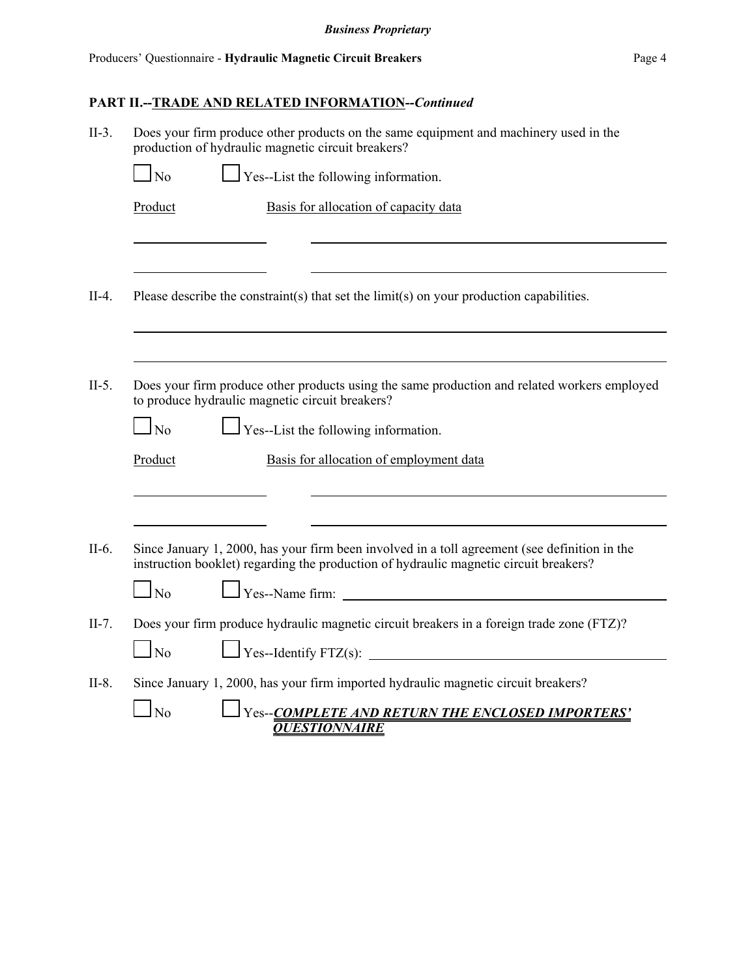| $II-3.$ | Does your firm produce other products on the same equipment and machinery used in the<br>production of hydraulic magnetic circuit breakers?                                            |
|---------|----------------------------------------------------------------------------------------------------------------------------------------------------------------------------------------|
|         | $\frac{1}{2}$ Yes--List the following information.<br>$\log$                                                                                                                           |
|         | Product<br>Basis for allocation of capacity data                                                                                                                                       |
|         |                                                                                                                                                                                        |
| $II-4.$ | Please describe the constraint(s) that set the limit(s) on your production capabilities.                                                                                               |
|         |                                                                                                                                                                                        |
| $II-5.$ | Does your firm produce other products using the same production and related workers employed<br>to produce hydraulic magnetic circuit breakers?                                        |
|         | $\Box$ Yes--List the following information.<br>$\overline{N_0}$                                                                                                                        |
|         | Basis for allocation of employment data<br>Product                                                                                                                                     |
|         |                                                                                                                                                                                        |
| $II-6.$ | Since January 1, 2000, has your firm been involved in a toll agreement (see definition in the<br>instruction booklet) regarding the production of hydraulic magnetic circuit breakers? |
|         | Ves--Name firm:<br>$\Box$ No                                                                                                                                                           |
| $II-7.$ | Does your firm produce hydraulic magnetic circuit breakers in a foreign trade zone (FTZ)?                                                                                              |
|         | $\log$                                                                                                                                                                                 |
| $II-8.$ | Since January 1, 2000, has your firm imported hydraulic magnetic circuit breakers?                                                                                                     |
|         | Yes--COMPLETE AND RETURN THE ENCLOSED IMPORTERS'<br>No<br><b>QUESTIONNAIRE</b>                                                                                                         |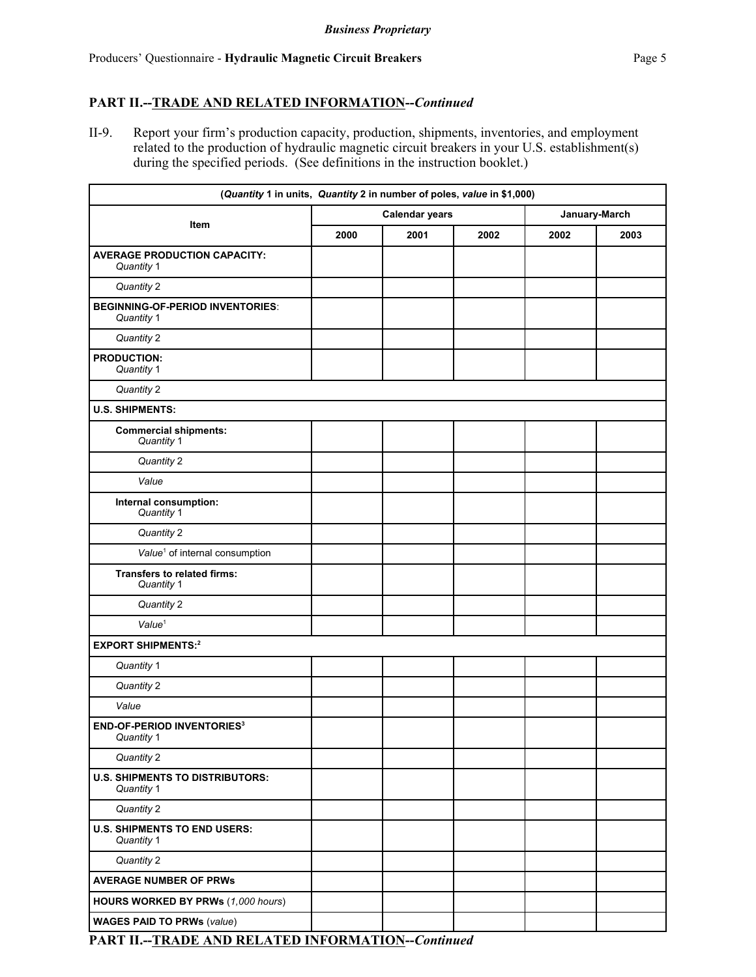## **PART II.--TRADE AND RELATED INFORMATION--***Continued*

II-9. Report your firm's production capacity, production, shipments, inventories, and employment related to the production of hydraulic magnetic circuit breakers in your U.S. establishment(s) during the specified periods. (See definitions in the instruction booklet.)

| (Quantity 1 in units, Quantity 2 in number of poles, value in \$1,000) |      |                       |      |               |      |
|------------------------------------------------------------------------|------|-----------------------|------|---------------|------|
|                                                                        |      | <b>Calendar years</b> |      | January-March |      |
| Item                                                                   | 2000 | 2001                  | 2002 | 2002          | 2003 |
| <b>AVERAGE PRODUCTION CAPACITY:</b><br>Quantity 1                      |      |                       |      |               |      |
| Quantity 2                                                             |      |                       |      |               |      |
| <b>BEGINNING-OF-PERIOD INVENTORIES:</b><br>Quantity 1                  |      |                       |      |               |      |
| Quantity 2                                                             |      |                       |      |               |      |
| <b>PRODUCTION:</b><br>Quantity 1                                       |      |                       |      |               |      |
| Quantity 2                                                             |      |                       |      |               |      |
| <b>U.S. SHIPMENTS:</b>                                                 |      |                       |      |               |      |
| <b>Commercial shipments:</b><br>Quantity 1                             |      |                       |      |               |      |
| Quantity 2                                                             |      |                       |      |               |      |
| Value                                                                  |      |                       |      |               |      |
| Internal consumption:<br>Quantity 1                                    |      |                       |      |               |      |
| Quantity 2                                                             |      |                       |      |               |      |
| Value <sup>1</sup> of internal consumption                             |      |                       |      |               |      |
| <b>Transfers to related firms:</b><br>Quantity 1                       |      |                       |      |               |      |
| Quantity 2                                                             |      |                       |      |               |      |
| Value <sup>1</sup>                                                     |      |                       |      |               |      |
| <b>EXPORT SHIPMENTS:2</b>                                              |      |                       |      |               |      |
| Quantity 1                                                             |      |                       |      |               |      |
| Quantity 2                                                             |      |                       |      |               |      |
| Value                                                                  |      |                       |      |               |      |
| <b>END-OF-PERIOD INVENTORIES3</b><br>Quantity 1                        |      |                       |      |               |      |
| Quantity 2                                                             |      |                       |      |               |      |
| <b>U.S. SHIPMENTS TO DISTRIBUTORS:</b><br>Quantity 1                   |      |                       |      |               |      |
| Quantity 2                                                             |      |                       |      |               |      |
| <b>U.S. SHIPMENTS TO END USERS:</b><br>Quantity 1                      |      |                       |      |               |      |
| Quantity 2                                                             |      |                       |      |               |      |
| <b>AVERAGE NUMBER OF PRWs</b>                                          |      |                       |      |               |      |
| HOURS WORKED BY PRWs (1,000 hours)                                     |      |                       |      |               |      |
| <b>WAGES PAID TO PRWs (value)</b>                                      |      |                       |      |               |      |
|                                                                        |      |                       |      |               |      |

**PART II.--TRADE AND RELATED INFORMATION--***Continued*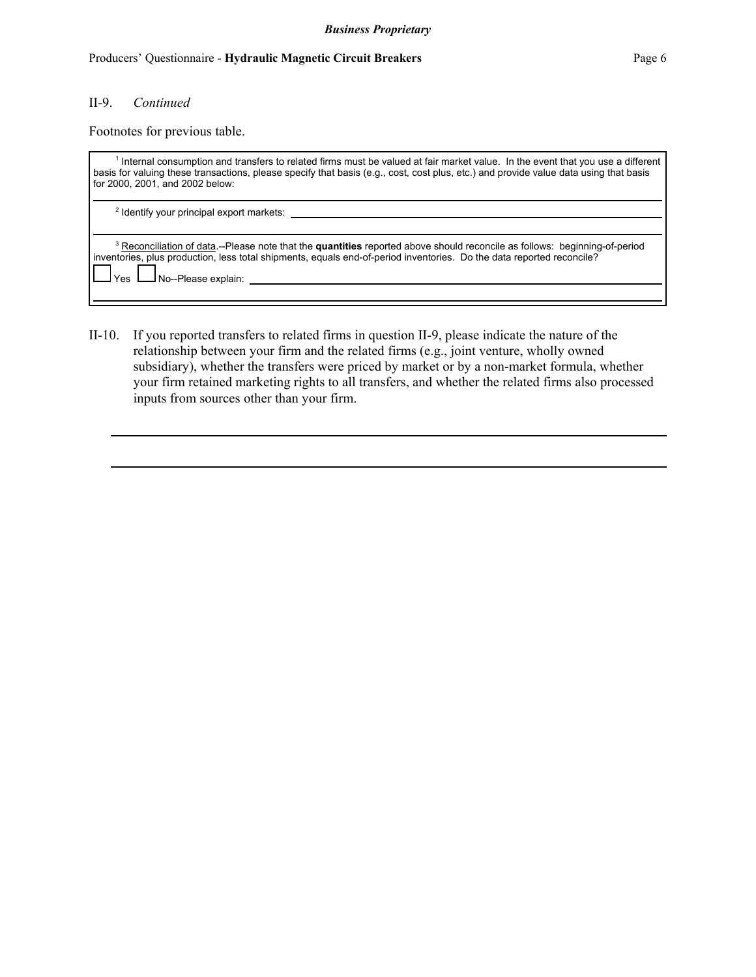#### Producers' Questionnaire - **Hydraulic Magnetic Circuit Breakers** Page 6

### II-9. *Continued*

Footnotes for previous table.

| <sup>1</sup> Internal consumption and transfers to related firms must be valued at fair market value. In the event that you use a different<br>basis for valuing these transactions, please specify that basis (e.g., cost, cost plus, etc.) and provide value data using that basis<br>for 2000, 2001, and 2002 below: |
|-------------------------------------------------------------------------------------------------------------------------------------------------------------------------------------------------------------------------------------------------------------------------------------------------------------------------|
| <sup>2</sup> Identify your principal export markets:                                                                                                                                                                                                                                                                    |
| <sup>3</sup> Reconciliation of data.--Please note that the <b>quantities</b> reported above should reconcile as follows: beginning-of-period<br>inventories, plus production, less total shipments, equals end-of-period inventories. Do the data reported reconcile?<br>No--Please explain:<br>Yes                     |

II-10. If you reported transfers to related firms in question II-9, please indicate the nature of the relationship between your firm and the related firms (e.g., joint venture, wholly owned subsidiary), whether the transfers were priced by market or by a non-market formula, whether your firm retained marketing rights to all transfers, and whether the related firms also processed inputs from sources other than your firm.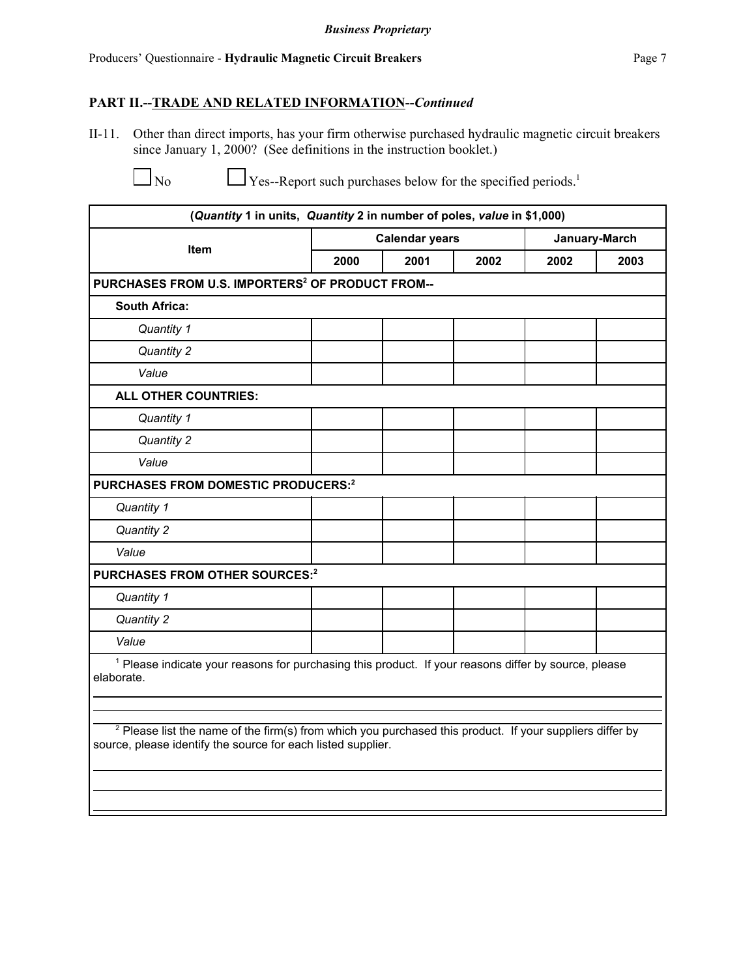# **PART II.--TRADE AND RELATED INFORMATION--***Continued*

II-11. Other than direct imports, has your firm otherwise purchased hydraulic magnetic circuit breakers since January 1, 2000? (See definitions in the instruction booklet.)

 $\Box$  No  $\Box$  Yes--Report such purchases below for the specified periods.<sup>1</sup>

| (Quantity 1 in units, Quantity 2 in number of poles, value in \$1,000)                                                                                                                                                                                                                                               |      |                       |      |               |      |  |
|----------------------------------------------------------------------------------------------------------------------------------------------------------------------------------------------------------------------------------------------------------------------------------------------------------------------|------|-----------------------|------|---------------|------|--|
| Item                                                                                                                                                                                                                                                                                                                 |      | <b>Calendar years</b> |      | January-March |      |  |
|                                                                                                                                                                                                                                                                                                                      | 2000 | 2001                  | 2002 | 2002          | 2003 |  |
| PURCHASES FROM U.S. IMPORTERS <sup>2</sup> OF PRODUCT FROM--                                                                                                                                                                                                                                                         |      |                       |      |               |      |  |
| <b>South Africa:</b>                                                                                                                                                                                                                                                                                                 |      |                       |      |               |      |  |
| Quantity 1                                                                                                                                                                                                                                                                                                           |      |                       |      |               |      |  |
| Quantity 2                                                                                                                                                                                                                                                                                                           |      |                       |      |               |      |  |
| Value                                                                                                                                                                                                                                                                                                                |      |                       |      |               |      |  |
| <b>ALL OTHER COUNTRIES:</b>                                                                                                                                                                                                                                                                                          |      |                       |      |               |      |  |
| Quantity 1                                                                                                                                                                                                                                                                                                           |      |                       |      |               |      |  |
| Quantity 2                                                                                                                                                                                                                                                                                                           |      |                       |      |               |      |  |
| Value                                                                                                                                                                                                                                                                                                                |      |                       |      |               |      |  |
| PURCHASES FROM DOMESTIC PRODUCERS:2                                                                                                                                                                                                                                                                                  |      |                       |      |               |      |  |
| Quantity 1                                                                                                                                                                                                                                                                                                           |      |                       |      |               |      |  |
| Quantity 2                                                                                                                                                                                                                                                                                                           |      |                       |      |               |      |  |
| Value                                                                                                                                                                                                                                                                                                                |      |                       |      |               |      |  |
| PURCHASES FROM OTHER SOURCES:2                                                                                                                                                                                                                                                                                       |      |                       |      |               |      |  |
| Quantity 1                                                                                                                                                                                                                                                                                                           |      |                       |      |               |      |  |
| Quantity 2                                                                                                                                                                                                                                                                                                           |      |                       |      |               |      |  |
| Value                                                                                                                                                                                                                                                                                                                |      |                       |      |               |      |  |
| <sup>1</sup> Please indicate your reasons for purchasing this product. If your reasons differ by source, please<br>elaborate.<br><sup>2</sup> Please list the name of the firm(s) from which you purchased this product. If your suppliers differ by<br>source, please identify the source for each listed supplier. |      |                       |      |               |      |  |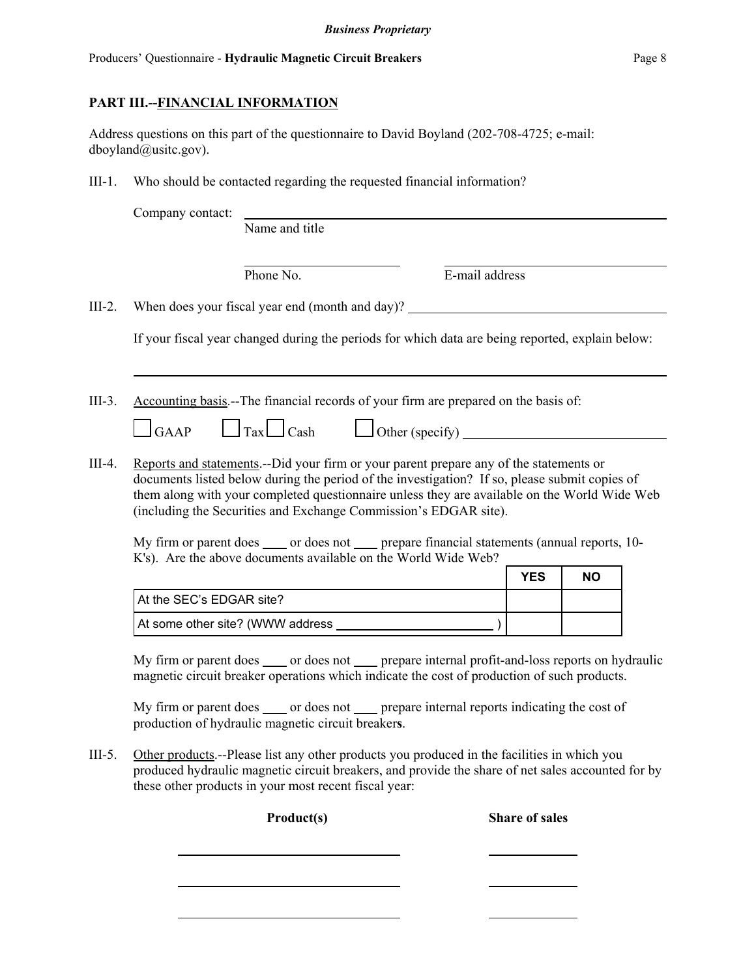# **PART III.--FINANCIAL INFORMATION**

Address questions on this part of the questionnaire to David Boyland (202-708-4725; e-mail: dboyland@usitc.gov).

III-1. Who should be contacted regarding the requested financial information?

|          | Company contact:         |                                                                                                                                                                                                                                                                                                                                                                                                                                                                 |                               |            |           |  |
|----------|--------------------------|-----------------------------------------------------------------------------------------------------------------------------------------------------------------------------------------------------------------------------------------------------------------------------------------------------------------------------------------------------------------------------------------------------------------------------------------------------------------|-------------------------------|------------|-----------|--|
|          |                          | Name and title                                                                                                                                                                                                                                                                                                                                                                                                                                                  |                               |            |           |  |
|          |                          | Phone No.                                                                                                                                                                                                                                                                                                                                                                                                                                                       | E-mail address                |            |           |  |
| $III-2.$ |                          | When does your fiscal year end (month and day)?                                                                                                                                                                                                                                                                                                                                                                                                                 |                               |            |           |  |
|          |                          | If your fiscal year changed during the periods for which data are being reported, explain below:                                                                                                                                                                                                                                                                                                                                                                |                               |            |           |  |
| $III-3.$ | $\Box$ GAAP              | Accounting basis.--The financial records of your firm are prepared on the basis of:<br>$\Box$ Tax $\Box$ Cash                                                                                                                                                                                                                                                                                                                                                   | $\Box$ Other (specify) $\Box$ |            |           |  |
| III-4.   |                          | Reports and statements.--Did your firm or your parent prepare any of the statements or<br>documents listed below during the period of the investigation? If so, please submit copies of<br>them along with your completed questionnaire unless they are available on the World Wide Web<br>(including the Securities and Exchange Commission's EDGAR site).<br>My firm or parent does _____ or does not _____ prepare financial statements (annual reports, 10- |                               |            |           |  |
|          |                          | K's). Are the above documents available on the World Wide Web?                                                                                                                                                                                                                                                                                                                                                                                                  |                               | <b>YES</b> | <b>NO</b> |  |
|          | At the SEC's EDGAR site? |                                                                                                                                                                                                                                                                                                                                                                                                                                                                 |                               |            |           |  |
|          |                          |                                                                                                                                                                                                                                                                                                                                                                                                                                                                 |                               |            |           |  |
|          |                          | My firm or parent does _____ or does not _____ prepare internal profit-and-loss reports on hydraulic<br>magnetic circuit breaker operations which indicate the cost of production of such products.                                                                                                                                                                                                                                                             |                               |            |           |  |
|          |                          | My firm or parent does _____ or does not _____ prepare internal reports indicating the cost of<br>production of hydraulic magnetic circuit breakers.                                                                                                                                                                                                                                                                                                            |                               |            |           |  |
| $III-5.$ |                          | Other products --Please list any other products you produced in the facilities in which you<br>produced hydraulic magnetic circuit breakers, and provide the share of net sales accounted for by<br>these other products in your most recent fiscal year:                                                                                                                                                                                                       |                               |            |           |  |

**Product(s) Share of sales**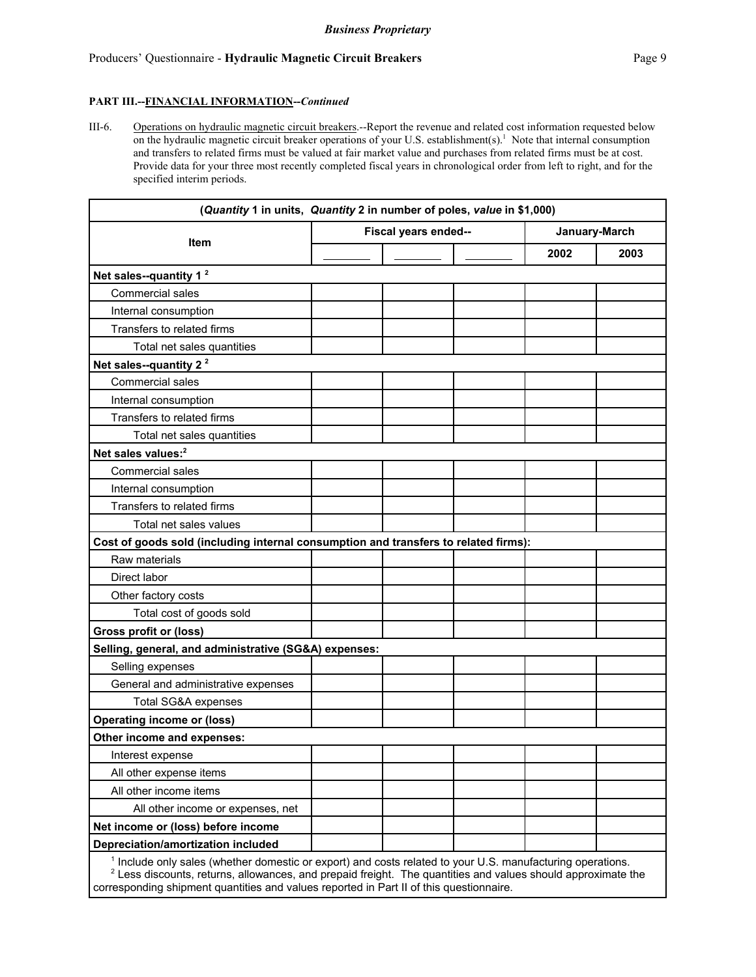#### **PART III.--FINANCIAL INFORMATION--***Continued*

III-6. Operations on hydraulic magnetic circuit breakers.--Report the revenue and related cost information requested below on the hydraulic magnetic circuit breaker operations of your U.S. establishment(s).<sup>1</sup> Note that internal consumption and transfers to related firms must be valued at fair market value and purchases from related firms must be at cost. Provide data for your three most recently completed fiscal years in chronological order from left to right, and for the specified interim periods.

| (Quantity 1 in units, Quantity 2 in number of poles, value in \$1,000) |  |                      |                                                                                     |  |  |  |
|------------------------------------------------------------------------|--|----------------------|-------------------------------------------------------------------------------------|--|--|--|
|                                                                        |  |                      | January-March                                                                       |  |  |  |
|                                                                        |  | 2002                 | 2003                                                                                |  |  |  |
|                                                                        |  |                      |                                                                                     |  |  |  |
|                                                                        |  |                      |                                                                                     |  |  |  |
|                                                                        |  |                      |                                                                                     |  |  |  |
|                                                                        |  |                      |                                                                                     |  |  |  |
|                                                                        |  |                      |                                                                                     |  |  |  |
|                                                                        |  |                      |                                                                                     |  |  |  |
|                                                                        |  |                      |                                                                                     |  |  |  |
|                                                                        |  |                      |                                                                                     |  |  |  |
|                                                                        |  |                      |                                                                                     |  |  |  |
|                                                                        |  |                      |                                                                                     |  |  |  |
|                                                                        |  |                      |                                                                                     |  |  |  |
|                                                                        |  |                      |                                                                                     |  |  |  |
|                                                                        |  |                      |                                                                                     |  |  |  |
|                                                                        |  |                      |                                                                                     |  |  |  |
|                                                                        |  |                      |                                                                                     |  |  |  |
|                                                                        |  |                      |                                                                                     |  |  |  |
|                                                                        |  |                      |                                                                                     |  |  |  |
|                                                                        |  |                      |                                                                                     |  |  |  |
|                                                                        |  |                      |                                                                                     |  |  |  |
|                                                                        |  |                      |                                                                                     |  |  |  |
|                                                                        |  |                      |                                                                                     |  |  |  |
| Selling, general, and administrative (SG&A) expenses:                  |  |                      |                                                                                     |  |  |  |
|                                                                        |  |                      |                                                                                     |  |  |  |
|                                                                        |  |                      |                                                                                     |  |  |  |
|                                                                        |  |                      |                                                                                     |  |  |  |
|                                                                        |  |                      |                                                                                     |  |  |  |
|                                                                        |  |                      |                                                                                     |  |  |  |
|                                                                        |  |                      |                                                                                     |  |  |  |
|                                                                        |  |                      |                                                                                     |  |  |  |
|                                                                        |  |                      |                                                                                     |  |  |  |
|                                                                        |  |                      |                                                                                     |  |  |  |
|                                                                        |  |                      |                                                                                     |  |  |  |
|                                                                        |  |                      |                                                                                     |  |  |  |
|                                                                        |  | Fiscal years ended-- | Cost of goods sold (including internal consumption and transfers to related firms): |  |  |  |

corresponding shipment quantities and values reported in Part II of this questionnaire.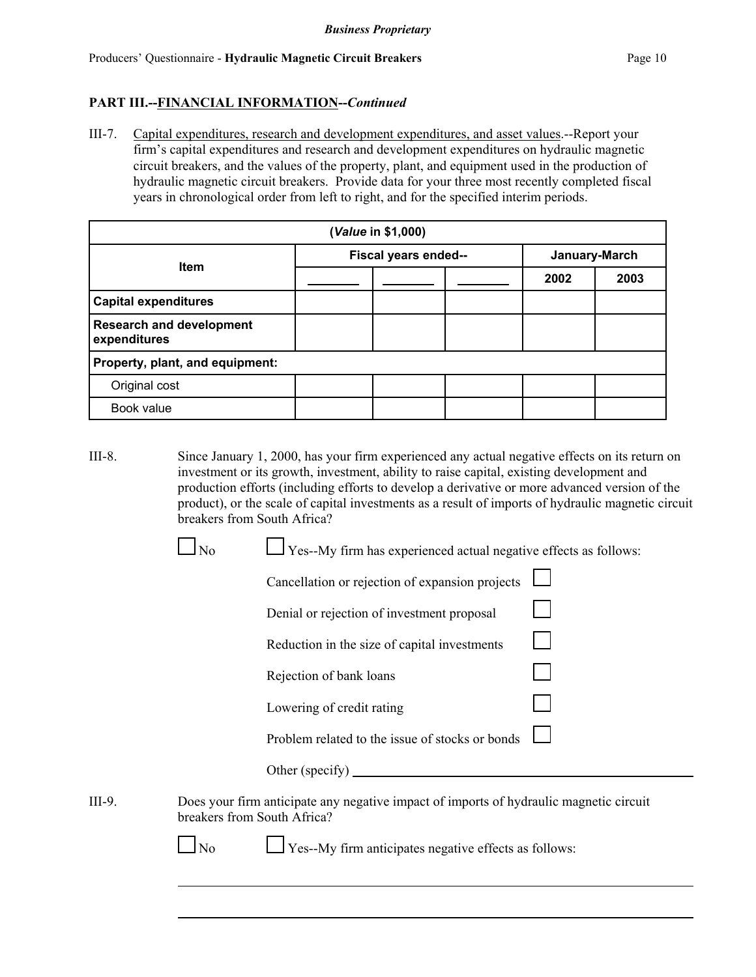### **PART III.--FINANCIAL INFORMATION--***Continued*

III-7. Capital expenditures, research and development expenditures, and asset values.--Report your firm's capital expenditures and research and development expenditures on hydraulic magnetic circuit breakers, and the values of the property, plant, and equipment used in the production of hydraulic magnetic circuit breakers. Provide data for your three most recently completed fiscal years in chronological order from left to right, and for the specified interim periods.

| (Value in \$1,000)                              |  |                      |  |              |               |  |  |  |
|-------------------------------------------------|--|----------------------|--|--------------|---------------|--|--|--|
| <b>Item</b>                                     |  | Fiscal years ended-- |  |              | January-March |  |  |  |
|                                                 |  |                      |  | 2002<br>2003 |               |  |  |  |
| <b>Capital expenditures</b>                     |  |                      |  |              |               |  |  |  |
| <b>Research and development</b><br>expenditures |  |                      |  |              |               |  |  |  |
| Property, plant, and equipment:                 |  |                      |  |              |               |  |  |  |
| Original cost                                   |  |                      |  |              |               |  |  |  |
| Book value                                      |  |                      |  |              |               |  |  |  |

III-8. Since January 1, 2000, has your firm experienced any actual negative effects on its return on investment or its growth, investment, ability to raise capital, existing development and production efforts (including efforts to develop a derivative or more advanced version of the product), or the scale of capital investments as a result of imports of hydraulic magnetic circuit breakers from South Africa?

 $\Box$  Yes--My firm has experienced actual negative effects as follows:

|        |                             | Cancellation or rejection of expansion projects                                        |  |
|--------|-----------------------------|----------------------------------------------------------------------------------------|--|
|        |                             | Denial or rejection of investment proposal                                             |  |
|        |                             | Reduction in the size of capital investments                                           |  |
|        |                             | Rejection of bank loans                                                                |  |
|        |                             | Lowering of credit rating                                                              |  |
|        |                             | Problem related to the issue of stocks or bonds                                        |  |
|        |                             | Other (specify) $\qquad \qquad$                                                        |  |
| III-9. | breakers from South Africa? | Does your firm anticipate any negative impact of imports of hydraulic magnetic circuit |  |
|        | No                          | Yes--My firm anticipates negative effects as follows:                                  |  |
|        |                             |                                                                                        |  |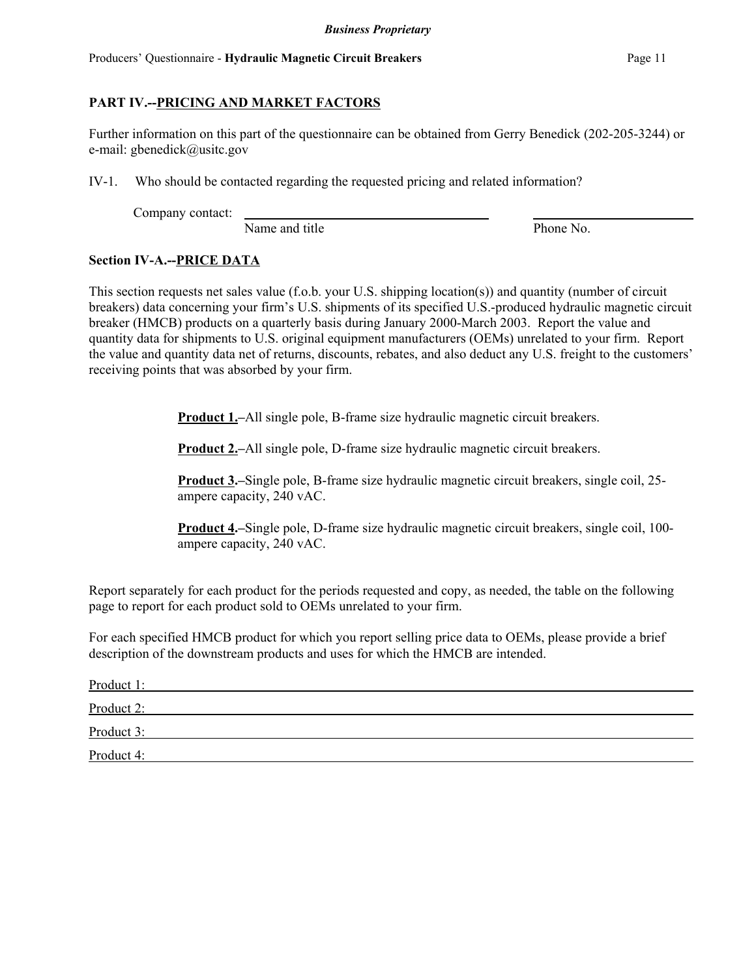# **PART IV.--PRICING AND MARKET FACTORS**

Further information on this part of the questionnaire can be obtained from Gerry Benedick (202-205-3244) or e-mail: gbenedick@usitc.gov

IV-1. Who should be contacted regarding the requested pricing and related information?

Company contact:

Name and title Phone No.

## **Section IV-A.--PRICE DATA**

This section requests net sales value (f.o.b. your U.S. shipping location(s)) and quantity (number of circuit breakers) data concerning your firm's U.S. shipments of its specified U.S.-produced hydraulic magnetic circuit breaker (HMCB) products on a quarterly basis during January 2000-March 2003. Report the value and quantity data for shipments to U.S. original equipment manufacturers (OEMs) unrelated to your firm. Report the value and quantity data net of returns, discounts, rebates, and also deduct any U.S. freight to the customers' receiving points that was absorbed by your firm.

**Product 1.–**All single pole, B-frame size hydraulic magnetic circuit breakers.

**Product 2.–All single pole, D-frame size hydraulic magnetic circuit breakers.** 

**Product 3.–**Single pole, B-frame size hydraulic magnetic circuit breakers, single coil, 25 ampere capacity, 240 vAC.

**Product 4.–**Single pole, D-frame size hydraulic magnetic circuit breakers, single coil, 100 ampere capacity, 240 vAC.

Report separately for each product for the periods requested and copy, as needed, the table on the following page to report for each product sold to OEMs unrelated to your firm.

For each specified HMCB product for which you report selling price data to OEMs, please provide a brief description of the downstream products and uses for which the HMCB are intended.

| Product 1: |  |
|------------|--|
| Product 2: |  |
| Product 3: |  |
| Product 4: |  |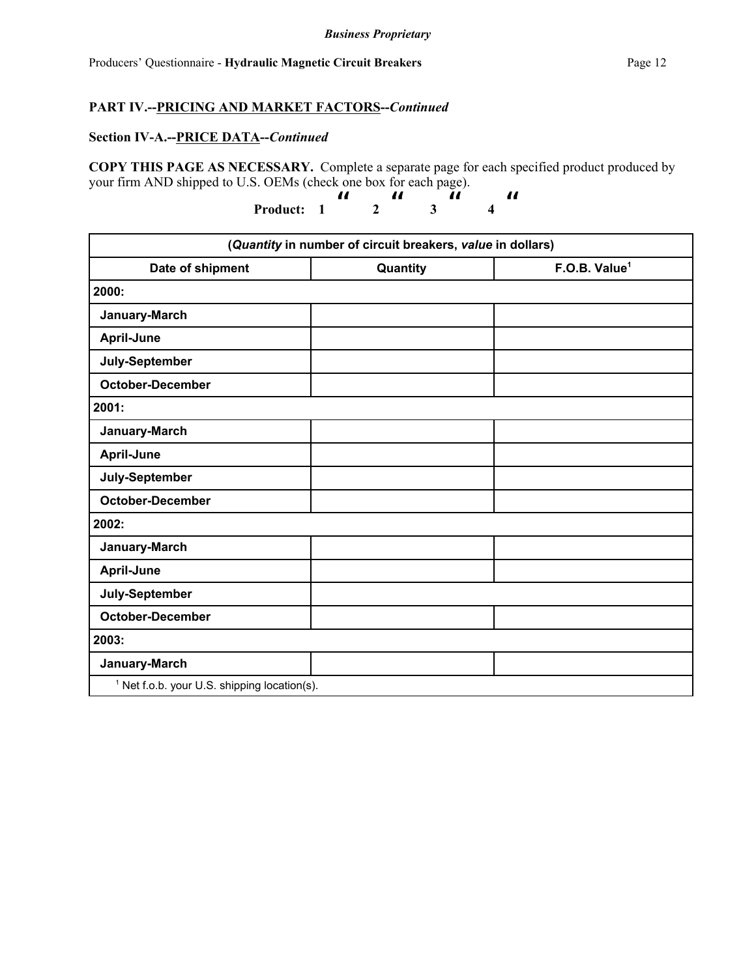## **Section IV-A.--PRICE DATA--***Continued*

**COPY THIS PAGE AS NECESSARY.** Complete a separate page for each specified product produced by your firm AND shipped to U.S. OEMs (check one box for each page).

**Product:** 1  $\frac{1}{2}$  **3**   $\boldsymbol{\mathit{u}}$  **4**  "

|                                                         | (Quantity in number of circuit breakers, value in dollars) |                           |
|---------------------------------------------------------|------------------------------------------------------------|---------------------------|
| Date of shipment                                        | Quantity                                                   | F.O.B. Value <sup>1</sup> |
| 2000:                                                   |                                                            |                           |
| January-March                                           |                                                            |                           |
| April-June                                              |                                                            |                           |
| July-September                                          |                                                            |                           |
| <b>October-December</b>                                 |                                                            |                           |
| 2001:                                                   |                                                            |                           |
| January-March                                           |                                                            |                           |
| <b>April-June</b>                                       |                                                            |                           |
| July-September                                          |                                                            |                           |
| <b>October-December</b>                                 |                                                            |                           |
| 2002:                                                   |                                                            |                           |
| January-March                                           |                                                            |                           |
| April-June                                              |                                                            |                           |
| July-September                                          |                                                            |                           |
| <b>October-December</b>                                 |                                                            |                           |
| 2003:                                                   |                                                            |                           |
| January-March                                           |                                                            |                           |
| <sup>1</sup> Net f.o.b. your U.S. shipping location(s). |                                                            |                           |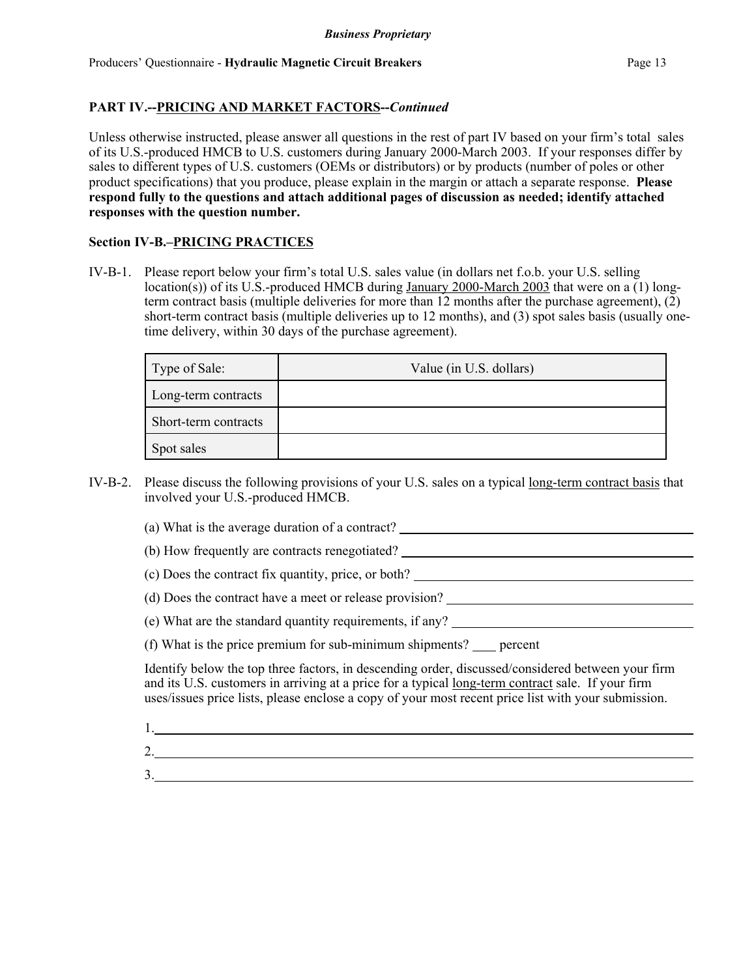Unless otherwise instructed, please answer all questions in the rest of part IV based on your firm's total sales of its U.S.-produced HMCB to U.S. customers during January 2000-March 2003. If your responses differ by sales to different types of U.S. customers (OEMs or distributors) or by products (number of poles or other product specifications) that you produce, please explain in the margin or attach a separate response. **Please respond fully to the questions and attach additional pages of discussion as needed; identify attached responses with the question number.**

## **Section IV-B.–PRICING PRACTICES**

IV-B-1. Please report below your firm's total U.S. sales value (in dollars net f.o.b. your U.S. selling location(s)) of its U.S.-produced HMCB during January 2000-March 2003 that were on a (1) longterm contract basis (multiple deliveries for more than 12 months after the purchase agreement), (2) short-term contract basis (multiple deliveries up to 12 months), and (3) spot sales basis (usually onetime delivery, within 30 days of the purchase agreement).

| Type of Sale:        | Value (in U.S. dollars) |
|----------------------|-------------------------|
| Long-term contracts  |                         |
| Short-term contracts |                         |
| Spot sales           |                         |

- IV-B-2. Please discuss the following provisions of your U.S. sales on a typical long-term contract basis that involved your U.S.-produced HMCB.
	- (a) What is the average duration of a contract?
	- (b) How frequently are contracts renegotiated?
	- (c) Does the contract fix quantity, price, or both?
	- (d) Does the contract have a meet or release provision?
	- (e) What are the standard quantity requirements, if any?
	- (f) What is the price premium for sub-minimum shipments?  $\_\_\_\$  percent

Identify below the top three factors, in descending order, discussed/considered between your firm and its U.S. customers in arriving at a price for a typical long-term contract sale. If your firm uses/issues price lists, please enclose a copy of your most recent price list with your submission.

- 1.
- 2.

3.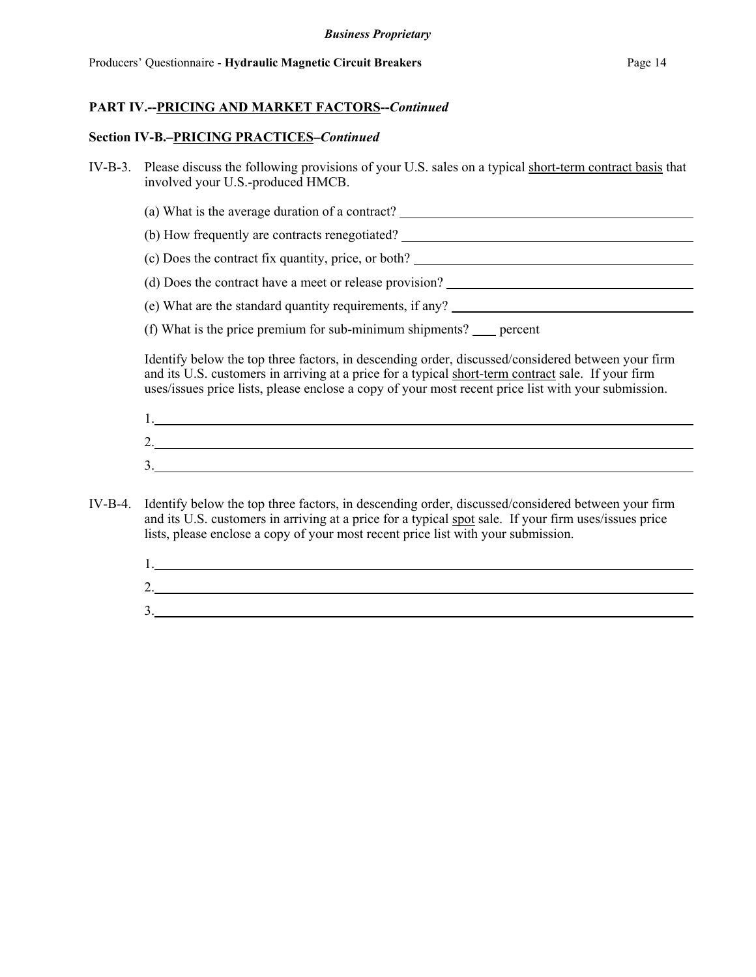### **Section IV-B.–PRICING PRACTICES–***Continued*

- IV-B-3. Please discuss the following provisions of your U.S. sales on a typical short-term contract basis that involved your U.S.-produced HMCB.
	- (a) What is the average duration of a contract?
	- (b) How frequently are contracts renegotiated?
	- (c) Does the contract fix quantity, price, or both?
	- (d) Does the contract have a meet or release provision?
	- (e) What are the standard quantity requirements, if any?
	- (f) What is the price premium for sub-minimum shipments?  $\_\_\_\$  percent

Identify below the top three factors, in descending order, discussed/considered between your firm and its U.S. customers in arriving at a price for a typical short-term contract sale. If your firm uses/issues price lists, please enclose a copy of your most recent price list with your submission.

| . . |  |  |
|-----|--|--|
| ∠.  |  |  |
| ້.  |  |  |

- IV-B-4. Identify below the top three factors, in descending order, discussed/considered between your firm and its U.S. customers in arriving at a price for a typical spot sale. If your firm uses/issues price lists, please enclose a copy of your most recent price list with your submission.
	- 1. 2. 3.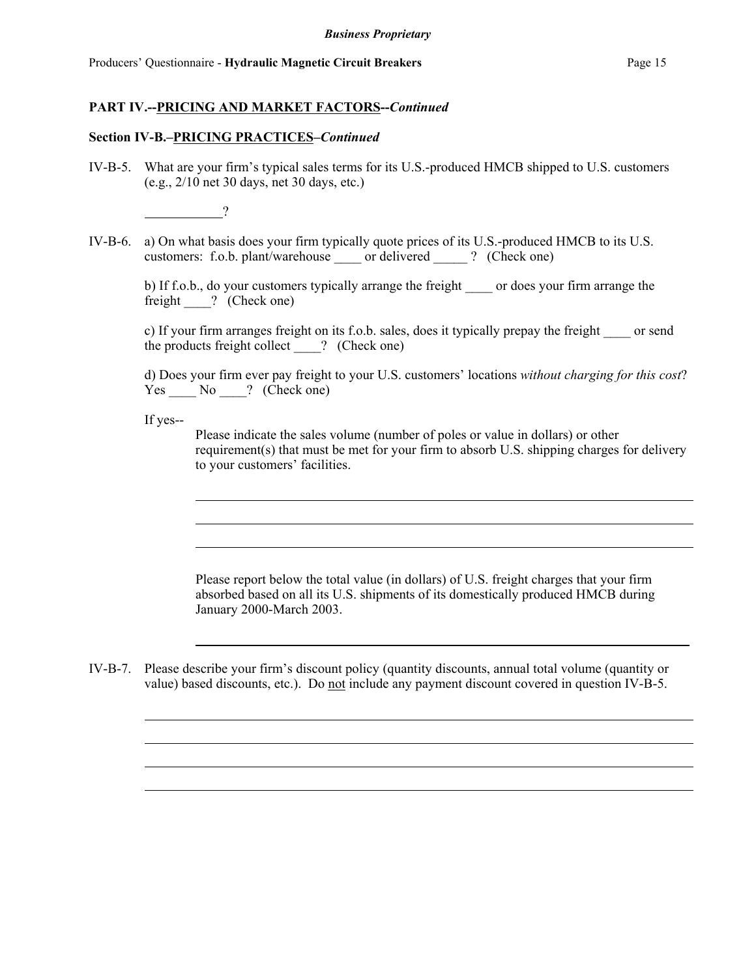#### **Section IV-B.–PRICING PRACTICES–***Continued*

IV-B-5. What are your firm's typical sales terms for its U.S.-produced HMCB shipped to U.S. customers (e.g., 2/10 net 30 days, net 30 days, etc.)

?

IV-B-6. a) On what basis does your firm typically quote prices of its U.S.-produced HMCB to its U.S. customers: f.o.b. plant/warehouse \_\_\_\_ or delivered \_\_\_\_\_ ? (Check one)

b) If f.o.b., do your customers typically arrange the freight \_\_\_\_\_ or does your firm arrange the freight ? (Check one)

c) If your firm arranges freight on its f.o.b. sales, does it typically prepay the freight \_\_\_\_ or send the products freight collect \_\_\_\_? (Check one)

d) Does your firm ever pay freight to your U.S. customers' locations *without charging for this cost*?  $Yes$   $No$  ? (Check one)

If yes--

Please indicate the sales volume (number of poles or value in dollars) or other requirement(s) that must be met for your firm to absorb U.S. shipping charges for delivery to your customers' facilities.

Please report below the total value (in dollars) of U.S. freight charges that your firm absorbed based on all its U.S. shipments of its domestically produced HMCB during January 2000-March 2003.

IV-B-7. Please describe your firm's discount policy (quantity discounts, annual total volume (quantity or value) based discounts, etc.). Do not include any payment discount covered in question IV-B-5.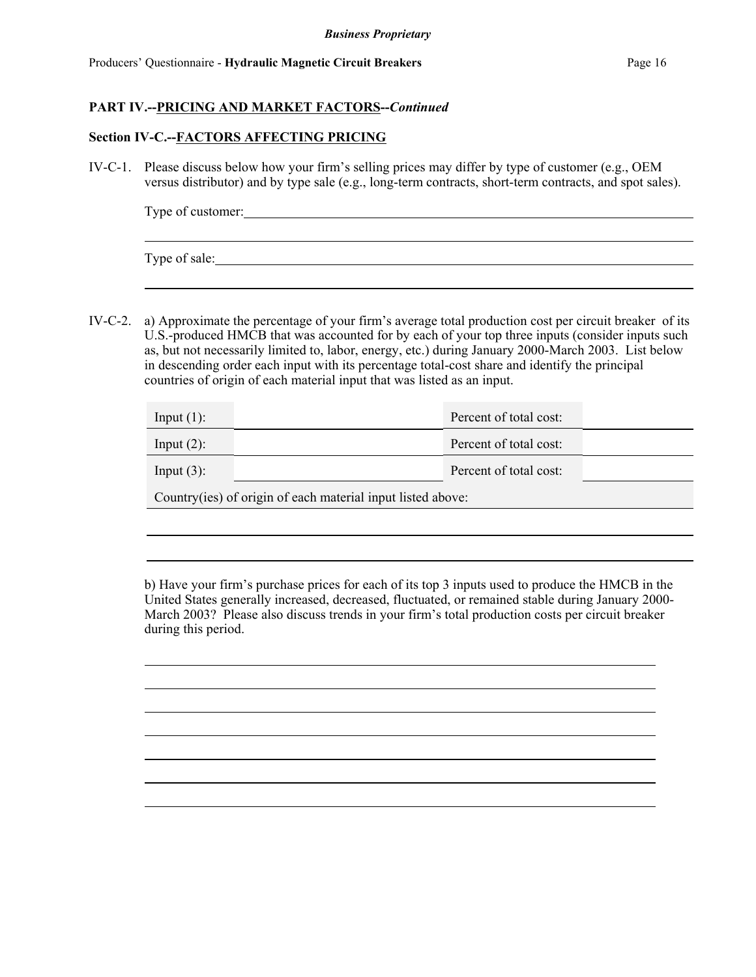### **Section IV-C.--FACTORS AFFECTING PRICING**

IV-C-1. Please discuss below how your firm's selling prices may differ by type of customer (e.g., OEM versus distributor) and by type sale (e.g., long-term contracts, short-term contracts, and spot sales).

| Type of customer: |  |  |  |
|-------------------|--|--|--|
|                   |  |  |  |
|                   |  |  |  |

Type of sale:

IV-C-2. a) Approximate the percentage of your firm's average total production cost per circuit breaker of its U.S.-produced HMCB that was accounted for by each of your top three inputs (consider inputs such as, but not necessarily limited to, labor, energy, etc.) during January 2000-March 2003. List below in descending order each input with its percentage total-cost share and identify the principal countries of origin of each material input that was listed as an input.

| Input $(1)$ : |                                                              | Percent of total cost: |  |
|---------------|--------------------------------------------------------------|------------------------|--|
| Input $(2)$ : |                                                              | Percent of total cost: |  |
| Input $(3)$ : |                                                              | Percent of total cost: |  |
|               | Country (ies) of origin of each material input listed above: |                        |  |

b) Have your firm's purchase prices for each of its top 3 inputs used to produce the HMCB in the United States generally increased, decreased, fluctuated, or remained stable during January 2000- March 2003? Please also discuss trends in your firm's total production costs per circuit breaker during this period.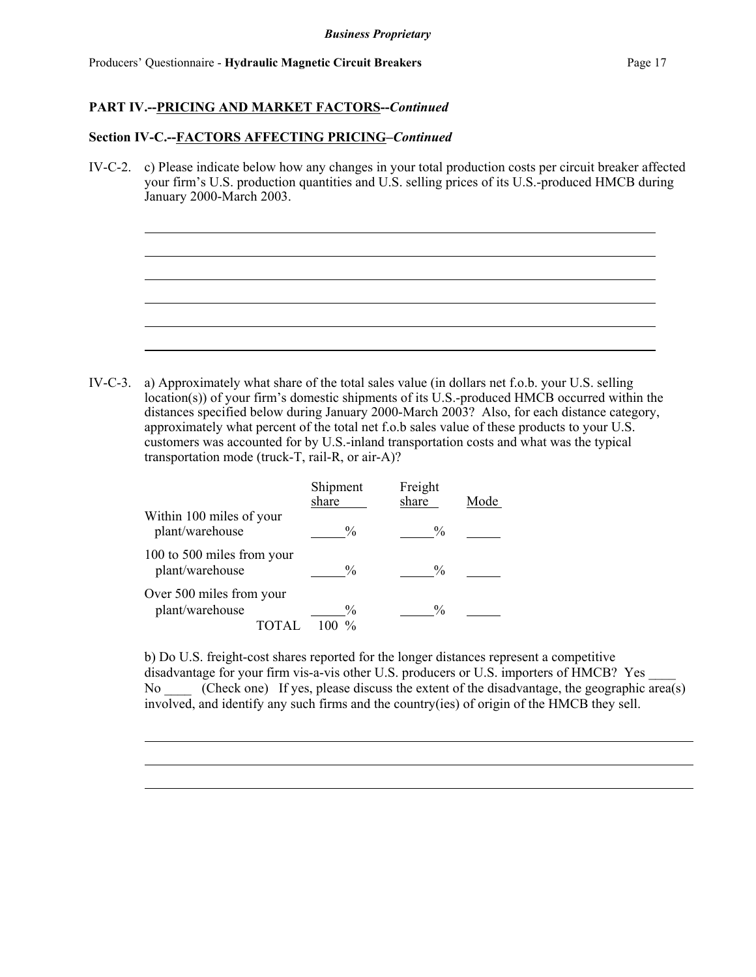### **Section IV-C.--FACTORS AFFECTING PRICING–***Continued*

IV-C-2. c) Please indicate below how any changes in your total production costs per circuit breaker affected your firm's U.S. production quantities and U.S. selling prices of its U.S.-produced HMCB during January 2000-March 2003.

IV-C-3. a) Approximately what share of the total sales value (in dollars net f.o.b. your U.S. selling location(s)) of your firm's domestic shipments of its U.S.-produced HMCB occurred within the distances specified below during January 2000-March 2003? Also, for each distance category, approximately what percent of the total net f.o.b sales value of these products to your U.S. customers was accounted for by U.S.-inland transportation costs and what was the typical transportation mode (truck-T, rail-R, or air-A)?

|                                               | Shipment<br>share | Freight<br>share | Mode |
|-----------------------------------------------|-------------------|------------------|------|
| Within 100 miles of your<br>plant/warehouse   | $\frac{0}{0}$     | $\frac{0}{0}$    |      |
| 100 to 500 miles from your<br>plant/warehouse | $\frac{0}{0}$     | $\frac{0}{0}$    |      |
| Over 500 miles from your<br>plant/warehouse   | $\frac{0}{0}$     | $\frac{0}{0}$    |      |

b) Do U.S. freight-cost shares reported for the longer distances represent a competitive disadvantage for your firm vis-a-vis other U.S. producers or U.S. importers of HMCB? Yes No (Check one) If yes, please discuss the extent of the disadvantage, the geographic area(s) involved, and identify any such firms and the country(ies) of origin of the HMCB they sell.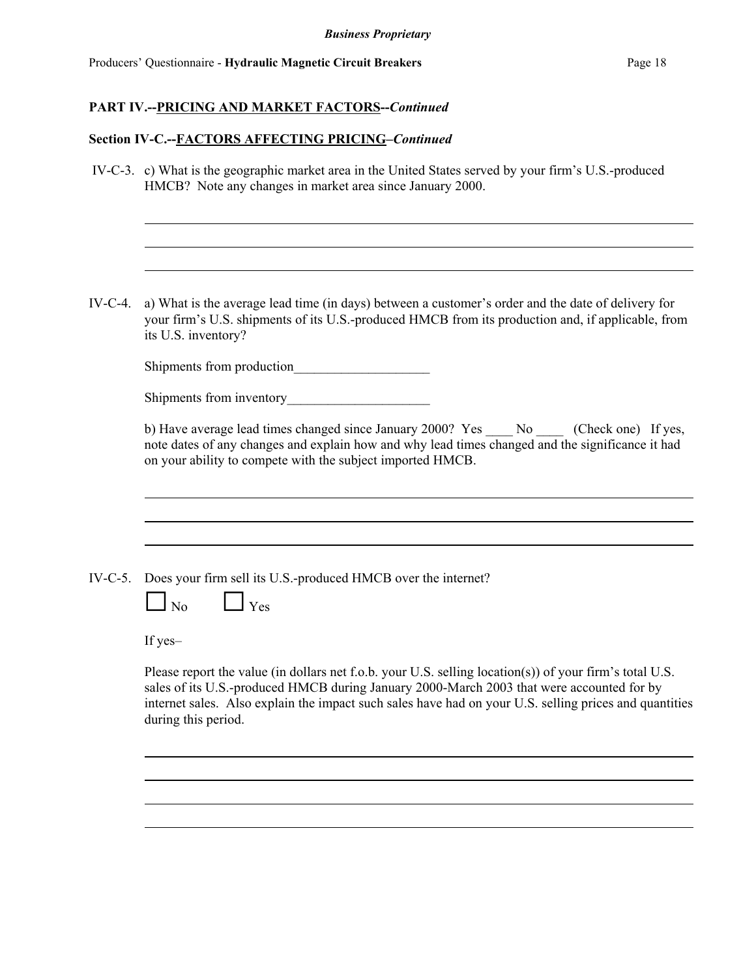### **Section IV-C.--FACTORS AFFECTING PRICING–***Continued*

 IV-C-3. c) What is the geographic market area in the United States served by your firm's U.S.-produced HMCB? Note any changes in market area since January 2000.

IV-C-4. a) What is the average lead time (in days) between a customer's order and the date of delivery for your firm's U.S. shipments of its U.S.-produced HMCB from its production and, if applicable, from its U.S. inventory?

Shipments from production

| Shipments from inventory |  |
|--------------------------|--|
|                          |  |

b) Have average lead times changed since January 2000? Yes \_\_\_\_ No \_\_\_\_ (Check one) If yes, note dates of any changes and explain how and why lead times changed and the significance it had on your ability to compete with the subject imported HMCB.

|  | IV-C-5. Does your firm sell its U.S.-produced HMCB over the internet? |  |
|--|-----------------------------------------------------------------------|--|
|  |                                                                       |  |

| N٥<br>ı | Yρς |
|---------|-----|
|---------|-----|

If yes–

Please report the value (in dollars net f.o.b. your U.S. selling location(s)) of your firm's total U.S. sales of its U.S.-produced HMCB during January 2000-March 2003 that were accounted for by internet sales. Also explain the impact such sales have had on your U.S. selling prices and quantities during this period.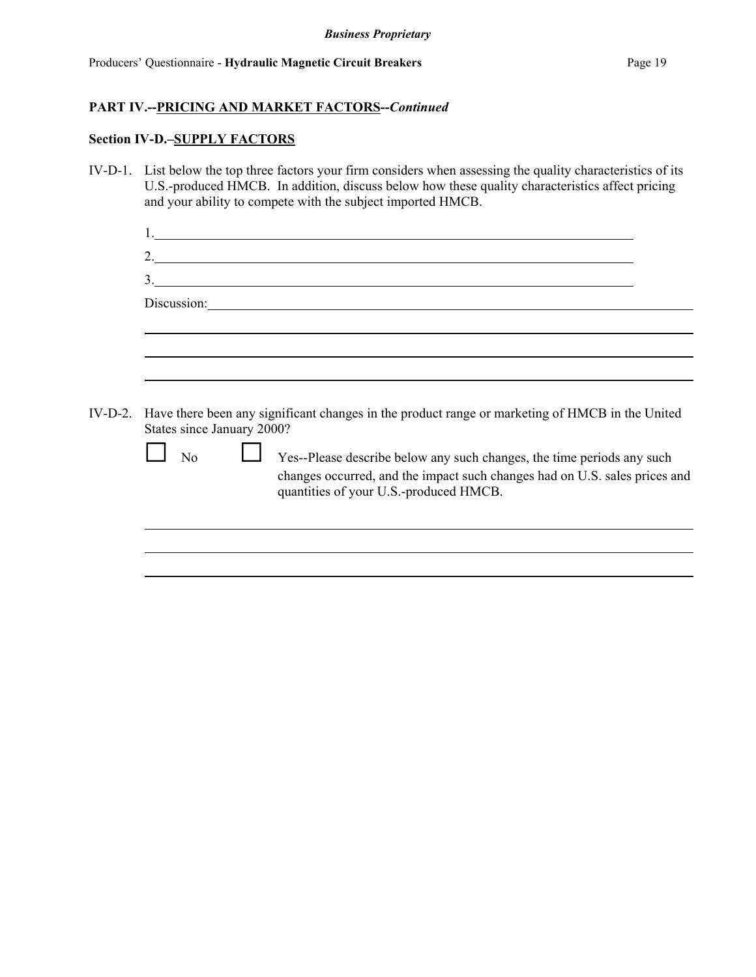### **Section IV-D.–SUPPLY FACTORS**

IV-D-1. List below the top three factors your firm considers when assessing the quality characteristics of its U.S.-produced HMCB. In addition, discuss below how these quality characteristics affect pricing and your ability to compete with the subject imported HMCB.

| N <sub>0</sub> | Yes--Please describe below any such changes, the time periods any such                                               |                                                                                                                                                                                                                                                                                                                                                                                                                                                                                                                                                                                                 |
|----------------|----------------------------------------------------------------------------------------------------------------------|-------------------------------------------------------------------------------------------------------------------------------------------------------------------------------------------------------------------------------------------------------------------------------------------------------------------------------------------------------------------------------------------------------------------------------------------------------------------------------------------------------------------------------------------------------------------------------------------------|
|                | changes occurred, and the impact such changes had on U.S. sales prices and<br>quantities of your U.S.-produced HMCB. |                                                                                                                                                                                                                                                                                                                                                                                                                                                                                                                                                                                                 |
|                |                                                                                                                      |                                                                                                                                                                                                                                                                                                                                                                                                                                                                                                                                                                                                 |
|                |                                                                                                                      |                                                                                                                                                                                                                                                                                                                                                                                                                                                                                                                                                                                                 |
|                |                                                                                                                      |                                                                                                                                                                                                                                                                                                                                                                                                                                                                                                                                                                                                 |
|                |                                                                                                                      | <u> 1989 - Johann Stoff, deutscher Stoffen und der Stoffen und der Stoffen und der Stoffen und der Stoffen und der</u><br>2. $\frac{1}{2}$ $\frac{1}{2}$ $\frac{1}{2}$ $\frac{1}{2}$ $\frac{1}{2}$ $\frac{1}{2}$ $\frac{1}{2}$ $\frac{1}{2}$ $\frac{1}{2}$ $\frac{1}{2}$ $\frac{1}{2}$ $\frac{1}{2}$ $\frac{1}{2}$ $\frac{1}{2}$ $\frac{1}{2}$ $\frac{1}{2}$ $\frac{1}{2}$ $\frac{1}{2}$ $\frac{1}{2}$ $\frac{1}{2}$ $\frac{1}{2}$ $\frac{1}{2}$<br>3.<br>IV-D-2. Have there been any significant changes in the product range or marketing of HMCB in the United<br>States since January 2000? |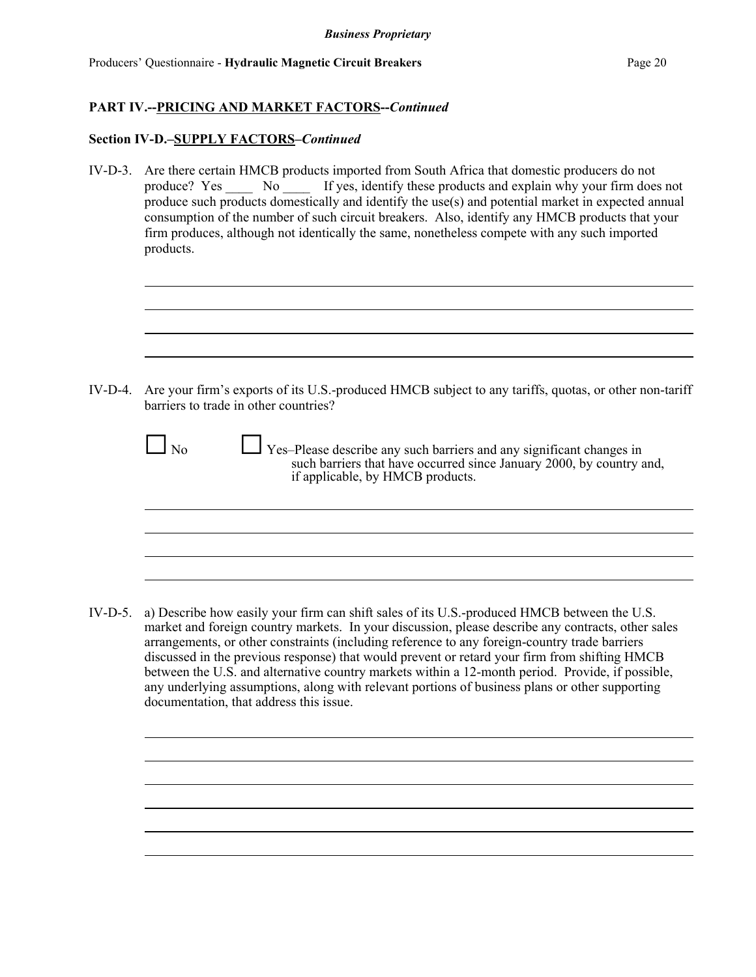### **Section IV-D.–SUPPLY FACTORS–***Continued*

IV-D-3. Are there certain HMCB products imported from South Africa that domestic producers do not produce? Yes \_\_\_\_\_ No \_\_\_\_\_ If yes, identify these products and explain why your firm does not produce such products domestically and identify the use(s) and potential market in expected annual consumption of the number of such circuit breakers. Also, identify any HMCB products that your firm produces, although not identically the same, nonetheless compete with any such imported products.

IV-D-4. Are your firm's exports of its U.S.-produced HMCB subject to any tariffs, quotas, or other non-tariff barriers to trade in other countries?

| $\Box$ No | Yes-Please describe any such barriers and any significant changes in<br>such barriers that have occurred since January 2000, by country and,<br>if applicable, by HMCB products. |
|-----------|----------------------------------------------------------------------------------------------------------------------------------------------------------------------------------|
|           |                                                                                                                                                                                  |

IV-D-5. a) Describe how easily your firm can shift sales of its U.S.-produced HMCB between the U.S. market and foreign country markets. In your discussion, please describe any contracts, other sales arrangements, or other constraints (including reference to any foreign-country trade barriers discussed in the previous response) that would prevent or retard your firm from shifting HMCB between the U.S. and alternative country markets within a 12-month period. Provide, if possible, any underlying assumptions, along with relevant portions of business plans or other supporting documentation, that address this issue.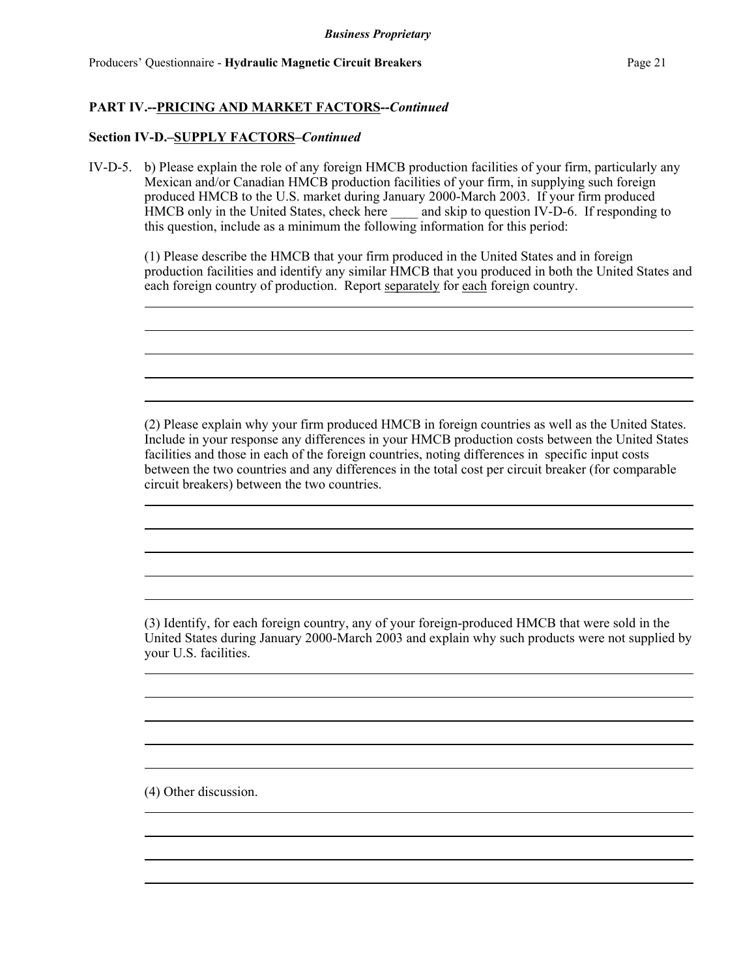### **Section IV-D.–SUPPLY FACTORS–***Continued*

IV-D-5. b) Please explain the role of any foreign HMCB production facilities of your firm, particularly any Mexican and/or Canadian HMCB production facilities of your firm, in supplying such foreign produced HMCB to the U.S. market during January 2000-March 2003. If your firm produced HMCB only in the United States, check here \_\_\_\_\_ and skip to question IV-D-6. If responding to this question, include as a minimum the following information for this period:

(1) Please describe the HMCB that your firm produced in the United States and in foreign production facilities and identify any similar HMCB that you produced in both the United States and each foreign country of production. Report separately for each foreign country.

(2) Please explain why your firm produced HMCB in foreign countries as well as the United States. Include in your response any differences in your HMCB production costs between the United States facilities and those in each of the foreign countries, noting differences in specific input costs between the two countries and any differences in the total cost per circuit breaker (for comparable circuit breakers) between the two countries.

(3) Identify, for each foreign country, any of your foreign-produced HMCB that were sold in the United States during January 2000-March 2003 and explain why such products were not supplied by your U.S. facilities.

(4) Other discussion.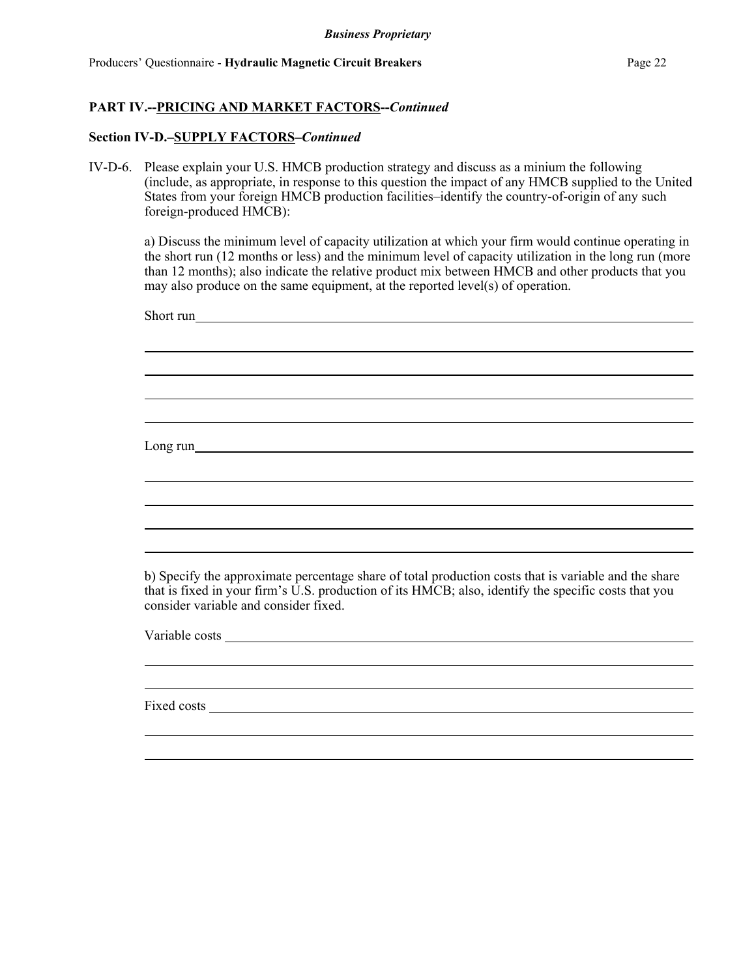### **Section IV-D.–SUPPLY FACTORS–***Continued*

IV-D-6. Please explain your U.S. HMCB production strategy and discuss as a minium the following (include, as appropriate, in response to this question the impact of any HMCB supplied to the United States from your foreign HMCB production facilities–identify the country-of-origin of any such foreign-produced HMCB):

a) Discuss the minimum level of capacity utilization at which your firm would continue operating in the short run (12 months or less) and the minimum level of capacity utilization in the long run (more than 12 months); also indicate the relative product mix between HMCB and other products that you may also produce on the same equipment, at the reported level(s) of operation.

| Short run                                                                                                                                                                                                                                             |
|-------------------------------------------------------------------------------------------------------------------------------------------------------------------------------------------------------------------------------------------------------|
|                                                                                                                                                                                                                                                       |
|                                                                                                                                                                                                                                                       |
|                                                                                                                                                                                                                                                       |
|                                                                                                                                                                                                                                                       |
| Long run                                                                                                                                                                                                                                              |
|                                                                                                                                                                                                                                                       |
|                                                                                                                                                                                                                                                       |
| ,我们也不会有什么?""我们的人,我们也不会不会不会。""我们的人,我们也不会不会不会不会。""我们的人,我们也不会不会不会不会。""我们的人,我们也不会不会不                                                                                                                                                                      |
|                                                                                                                                                                                                                                                       |
| b) Specify the approximate percentage share of total production costs that is variable and the share<br>that is fixed in your firm's U.S. production of its HMCB; also, identify the specific costs that you<br>consider variable and consider fixed. |
|                                                                                                                                                                                                                                                       |
|                                                                                                                                                                                                                                                       |

Fixed costs **Fixed costs**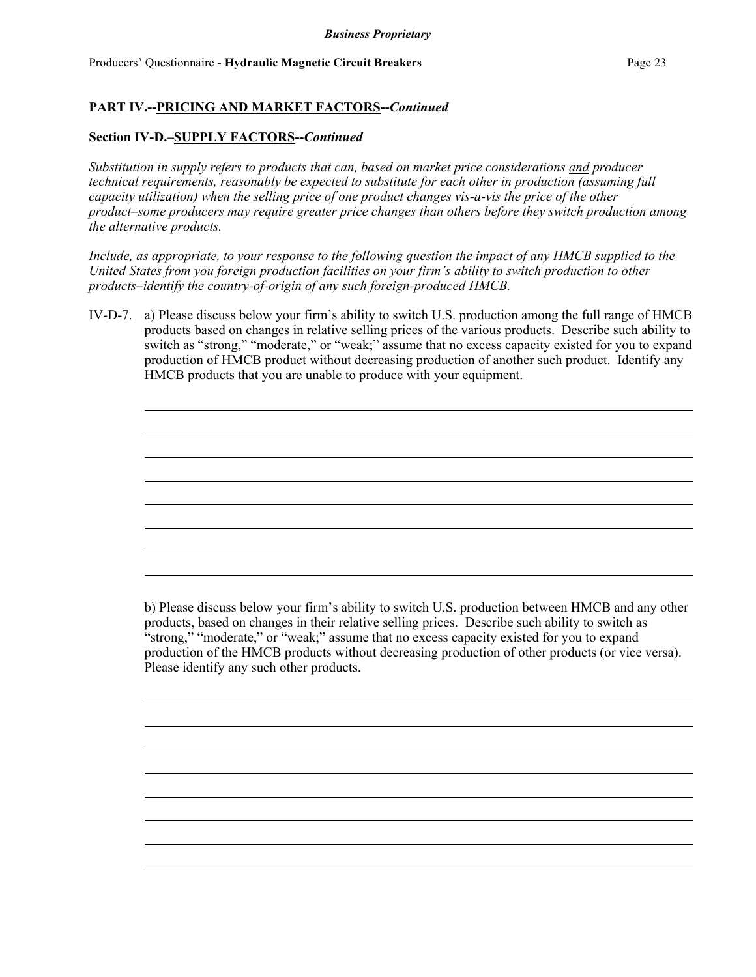### **Section IV-D.–SUPPLY FACTORS--***Continued*

*Substitution in supply refers to products that can, based on market price considerations and producer technical requirements, reasonably be expected to substitute for each other in production (assuming full capacity utilization) when the selling price of one product changes vis-a-vis the price of the other product–some producers may require greater price changes than others before they switch production among the alternative products.*

*Include, as appropriate, to your response to the following question the impact of any HMCB supplied to the United States from you foreign production facilities on your firm's ability to switch production to other products–identify the country-of-origin of any such foreign-produced HMCB.*

IV-D-7. a) Please discuss below your firm's ability to switch U.S. production among the full range of HMCB products based on changes in relative selling prices of the various products. Describe such ability to switch as "strong," "moderate," or "weak;" assume that no excess capacity existed for you to expand production of HMCB product without decreasing production of another such product. Identify any HMCB products that you are unable to produce with your equipment.

b) Please discuss below your firm's ability to switch U.S. production between HMCB and any other products, based on changes in their relative selling prices. Describe such ability to switch as "strong," "moderate," or "weak;" assume that no excess capacity existed for you to expand production of the HMCB products without decreasing production of other products (or vice versa). Please identify any such other products.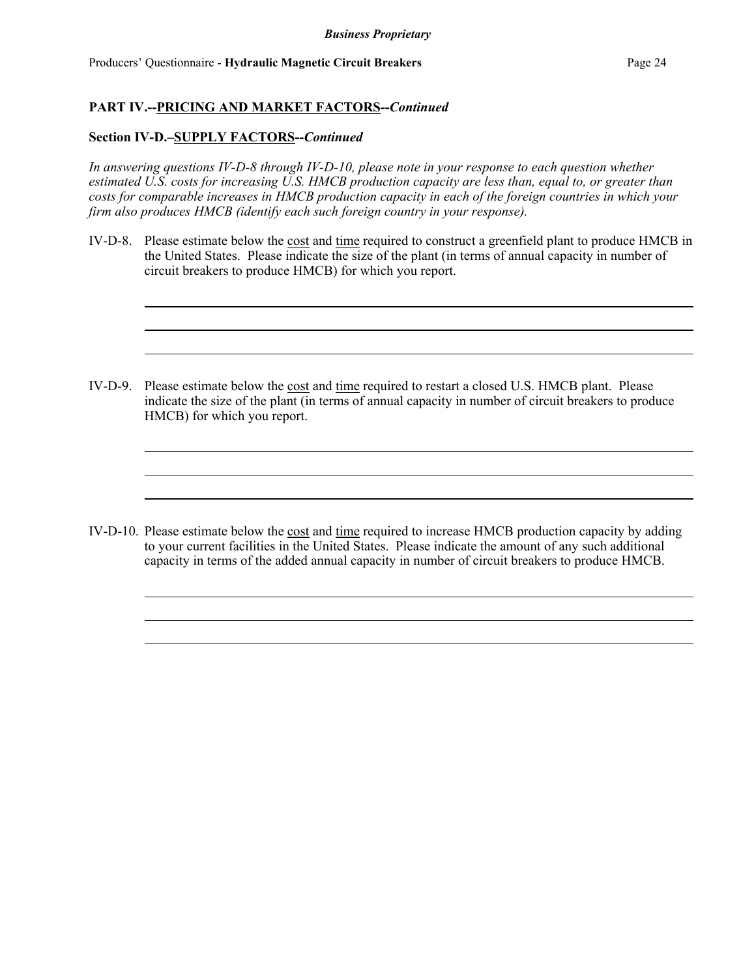### **Section IV-D.–SUPPLY FACTORS--***Continued*

*In answering questions IV-D-8 through IV-D-10, please note in your response to each question whether estimated U.S. costs for increasing U.S. HMCB production capacity are less than, equal to, or greater than costs for comparable increases in HMCB production capacity in each of the foreign countries in which your firm also produces HMCB (identify each such foreign country in your response).*

IV-D-8. Please estimate below the cost and time required to construct a greenfield plant to produce HMCB in the United States. Please indicate the size of the plant (in terms of annual capacity in number of circuit breakers to produce HMCB) for which you report.

IV-D-9. Please estimate below the cost and time required to restart a closed U.S. HMCB plant. Please indicate the size of the plant (in terms of annual capacity in number of circuit breakers to produce HMCB) for which you report.

IV-D-10. Please estimate below the cost and time required to increase HMCB production capacity by adding to your current facilities in the United States. Please indicate the amount of any such additional capacity in terms of the added annual capacity in number of circuit breakers to produce HMCB.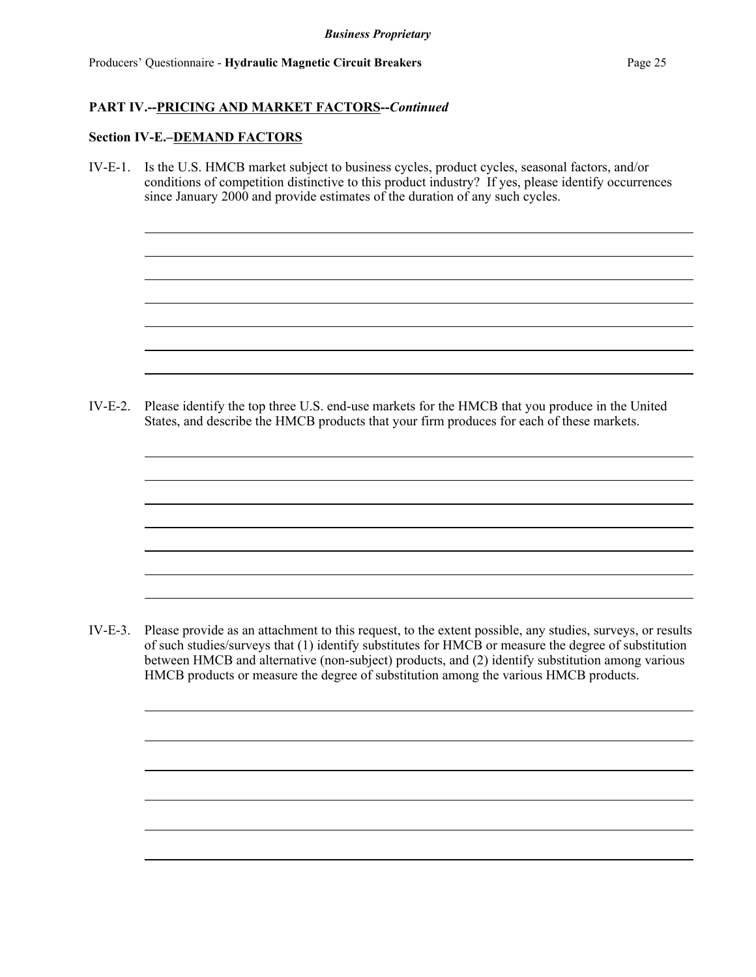#### **Section IV-E.–DEMAND FACTORS**

IV-E-1. Is the U.S. HMCB market subject to business cycles, product cycles, seasonal factors, and/or conditions of competition distinctive to this product industry? If yes, please identify occurrences since January 2000 and provide estimates of the duration of any such cycles.

IV-E-2. Please identify the top three U.S. end-use markets for the HMCB that you produce in the United States, and describe the HMCB products that your firm produces for each of these markets.

IV-E-3. Please provide as an attachment to this request, to the extent possible, any studies, surveys, or results of such studies/surveys that (1) identify substitutes for HMCB or measure the degree of substitution between HMCB and alternative (non-subject) products, and (2) identify substitution among various HMCB products or measure the degree of substitution among the various HMCB products.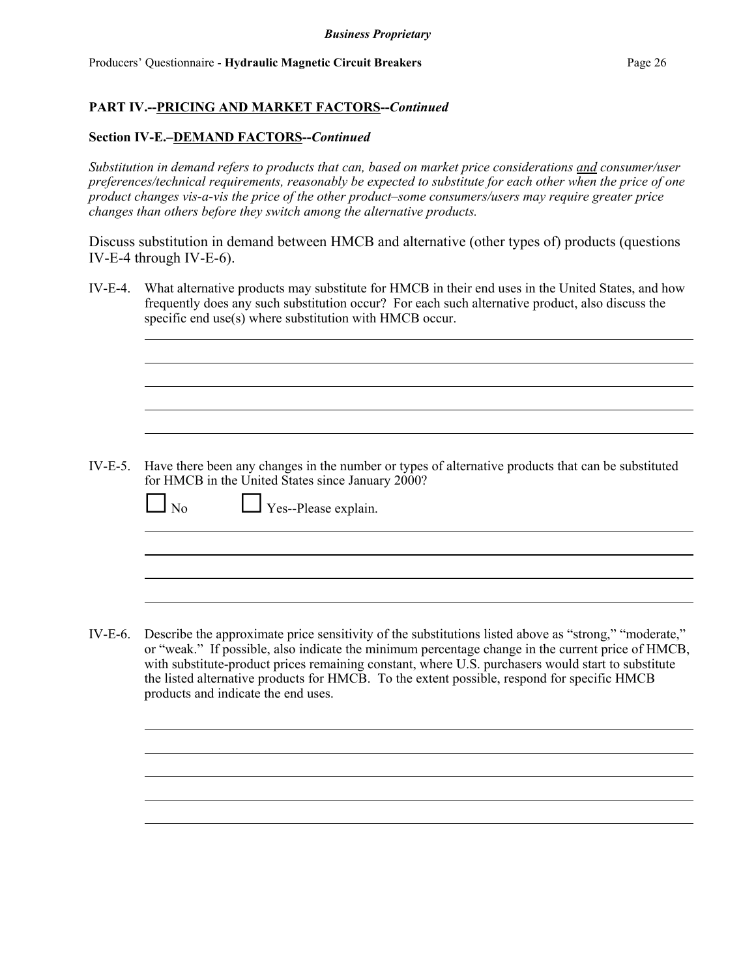### **Section IV-E.–DEMAND FACTORS--***Continued*

*Substitution in demand refers to products that can, based on market price considerations and consumer/user preferences/technical requirements, reasonably be expected to substitute for each other when the price of one product changes vis-a-vis the price of the other product–some consumers/users may require greater price changes than others before they switch among the alternative products.*

Discuss substitution in demand between HMCB and alternative (other types of) products (questions IV-E-4 through IV-E-6).

IV-E-4. What alternative products may substitute for HMCB in their end uses in the United States, and how frequently does any such substitution occur? For each such alternative product, also discuss the specific end use(s) where substitution with HMCB occur.

IV-E-5. Have there been any changes in the number or types of alternative products that can be substituted for HMCB in the United States since January 2000?

| $\Box$ No<br>$\Box$ Yes--Please explain. |
|------------------------------------------|
|------------------------------------------|

IV-E-6. Describe the approximate price sensitivity of the substitutions listed above as "strong," "moderate," or "weak." If possible, also indicate the minimum percentage change in the current price of HMCB, with substitute-product prices remaining constant, where U.S. purchasers would start to substitute the listed alternative products for HMCB. To the extent possible, respond for specific HMCB products and indicate the end uses.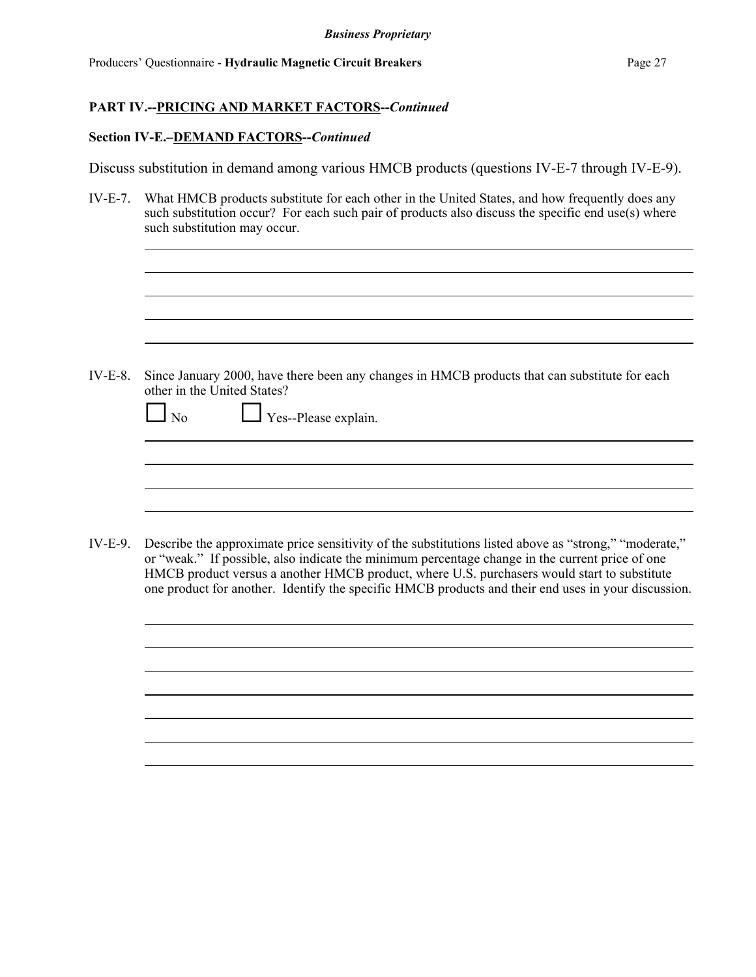#### **Section IV-E.–DEMAND FACTORS--***Continued*

Discuss substitution in demand among various HMCB products (questions IV-E-7 through IV-E-9).

IV-E-7. What HMCB products substitute for each other in the United States, and how frequently does any such substitution occur? For each such pair of products also discuss the specific end use(s) where such substitution may occur.

IV-E-8. Since January 2000, have there been any changes in HMCB products that can substitute for each other in the United States?

| $\Box$ No<br>$\Box$ Yes--Please explain. |
|------------------------------------------|
|------------------------------------------|

IV-E-9. Describe the approximate price sensitivity of the substitutions listed above as "strong," "moderate," or "weak." If possible, also indicate the minimum percentage change in the current price of one HMCB product versus a another HMCB product, where U.S. purchasers would start to substitute one product for another. Identify the specific HMCB products and their end uses in your discussion.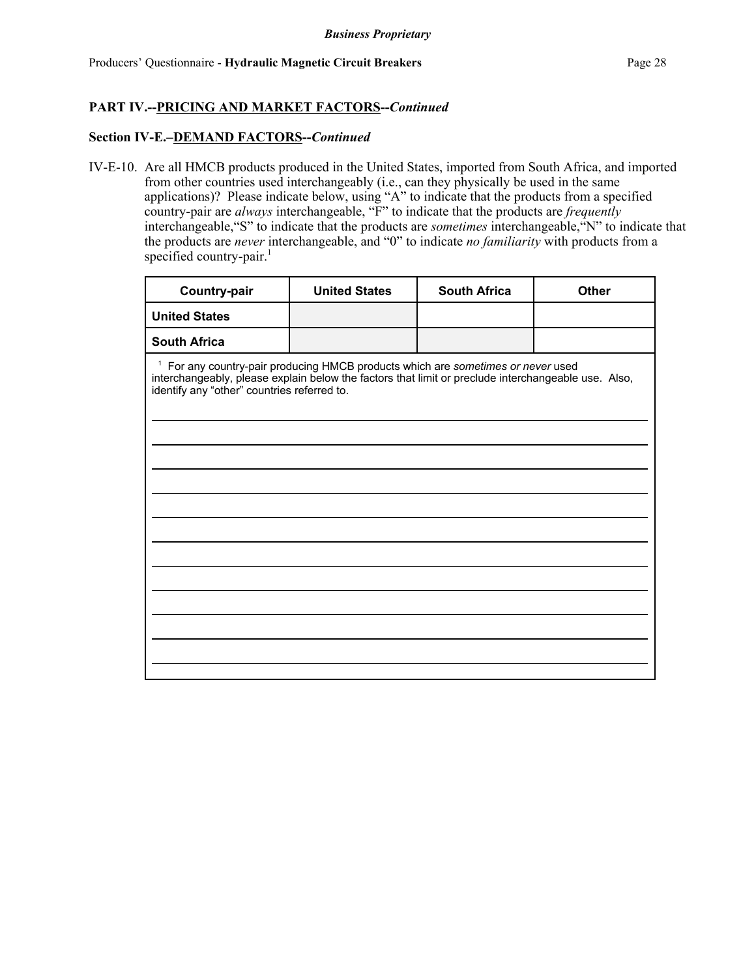#### **Section IV-E.–DEMAND FACTORS--***Continued*

IV-E-10. Are all HMCB products produced in the United States, imported from South Africa, and imported from other countries used interchangeably (i.e., can they physically be used in the same applications)? Please indicate below, using "A" to indicate that the products from a specified country-pair are *always* interchangeable, "F" to indicate that the products are *frequently* interchangeable,"S" to indicate that the products are *sometimes* interchangeable,"N" to indicate that the products are *never* interchangeable, and "0" to indicate *no familiarity* with products from a specified country-pair.<sup>1</sup>

| <b>Country-pair</b>                                                                                                                                                                                                                               | <b>United States</b> | <b>South Africa</b> | <b>Other</b> |  |  |  |  |
|---------------------------------------------------------------------------------------------------------------------------------------------------------------------------------------------------------------------------------------------------|----------------------|---------------------|--------------|--|--|--|--|
| <b>United States</b>                                                                                                                                                                                                                              |                      |                     |              |  |  |  |  |
| <b>South Africa</b>                                                                                                                                                                                                                               |                      |                     |              |  |  |  |  |
| <sup>1</sup> For any country-pair producing HMCB products which are sometimes or never used<br>interchangeably, please explain below the factors that limit or preclude interchangeable use. Also,<br>identify any "other" countries referred to. |                      |                     |              |  |  |  |  |
|                                                                                                                                                                                                                                                   |                      |                     |              |  |  |  |  |
|                                                                                                                                                                                                                                                   |                      |                     |              |  |  |  |  |
|                                                                                                                                                                                                                                                   |                      |                     |              |  |  |  |  |
|                                                                                                                                                                                                                                                   |                      |                     |              |  |  |  |  |
|                                                                                                                                                                                                                                                   |                      |                     |              |  |  |  |  |
|                                                                                                                                                                                                                                                   |                      |                     |              |  |  |  |  |
|                                                                                                                                                                                                                                                   |                      |                     |              |  |  |  |  |
|                                                                                                                                                                                                                                                   |                      |                     |              |  |  |  |  |
|                                                                                                                                                                                                                                                   |                      |                     |              |  |  |  |  |
|                                                                                                                                                                                                                                                   |                      |                     |              |  |  |  |  |
|                                                                                                                                                                                                                                                   |                      |                     |              |  |  |  |  |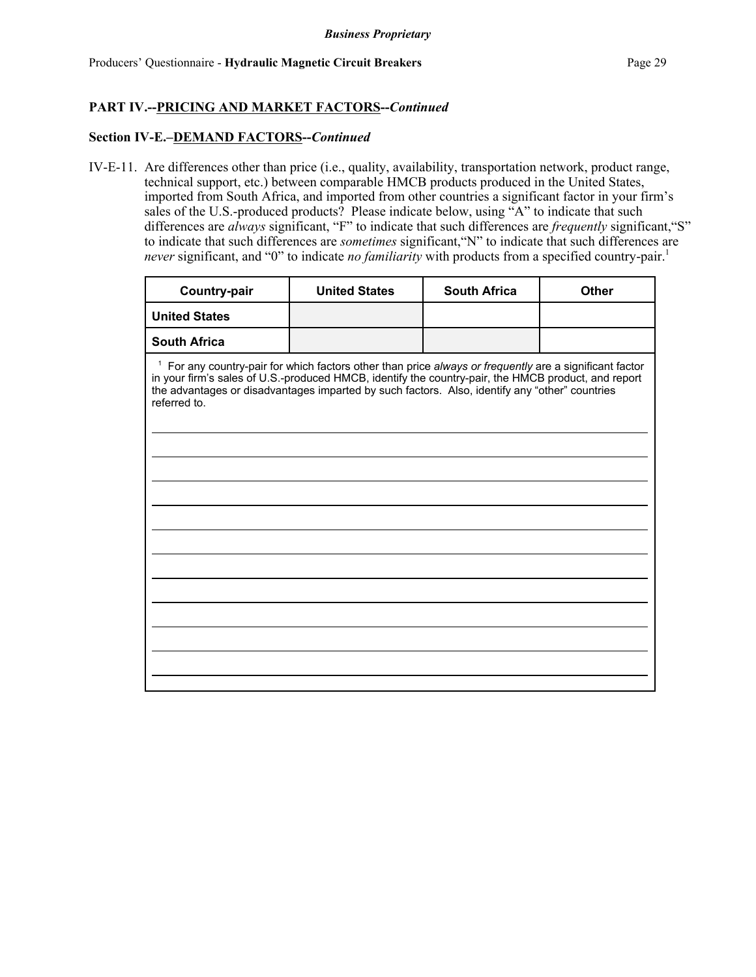#### **Section IV-E.–DEMAND FACTORS--***Continued*

IV-E-11. Are differences other than price (i.e., quality, availability, transportation network, product range, technical support, etc.) between comparable HMCB products produced in the United States, imported from South Africa, and imported from other countries a significant factor in your firm's sales of the U.S.-produced products? Please indicate below, using "A" to indicate that such differences are *always* significant, "F" to indicate that such differences are *frequently* significant,"S" to indicate that such differences are *sometimes* significant,"N" to indicate that such differences are *never* significant, and "0" to indicate *no familiarity* with products from a specified country-pair.<sup>1</sup>

| Country-pair                                                                                                                                                                                                                                                                                                                                | <b>United States</b> | <b>South Africa</b> | <b>Other</b> |  |  |  |  |
|---------------------------------------------------------------------------------------------------------------------------------------------------------------------------------------------------------------------------------------------------------------------------------------------------------------------------------------------|----------------------|---------------------|--------------|--|--|--|--|
| <b>United States</b>                                                                                                                                                                                                                                                                                                                        |                      |                     |              |  |  |  |  |
| <b>South Africa</b>                                                                                                                                                                                                                                                                                                                         |                      |                     |              |  |  |  |  |
| <sup>1</sup> For any country-pair for which factors other than price always or frequently are a significant factor<br>in your firm's sales of U.S.-produced HMCB, identify the country-pair, the HMCB product, and report<br>the advantages or disadvantages imparted by such factors. Also, identify any "other" countries<br>referred to. |                      |                     |              |  |  |  |  |
|                                                                                                                                                                                                                                                                                                                                             |                      |                     |              |  |  |  |  |
|                                                                                                                                                                                                                                                                                                                                             |                      |                     |              |  |  |  |  |
|                                                                                                                                                                                                                                                                                                                                             |                      |                     |              |  |  |  |  |
|                                                                                                                                                                                                                                                                                                                                             |                      |                     |              |  |  |  |  |
|                                                                                                                                                                                                                                                                                                                                             |                      |                     |              |  |  |  |  |
|                                                                                                                                                                                                                                                                                                                                             |                      |                     |              |  |  |  |  |
|                                                                                                                                                                                                                                                                                                                                             |                      |                     |              |  |  |  |  |
|                                                                                                                                                                                                                                                                                                                                             |                      |                     |              |  |  |  |  |
|                                                                                                                                                                                                                                                                                                                                             |                      |                     |              |  |  |  |  |
|                                                                                                                                                                                                                                                                                                                                             |                      |                     |              |  |  |  |  |
|                                                                                                                                                                                                                                                                                                                                             |                      |                     |              |  |  |  |  |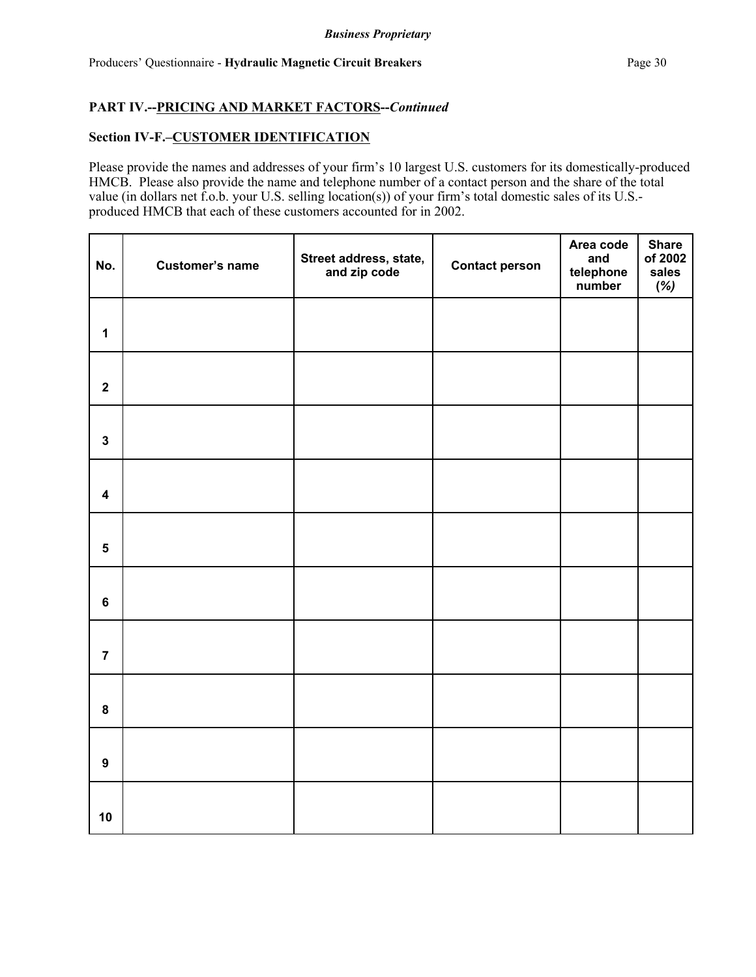### **Section IV-F.–CUSTOMER IDENTIFICATION**

Please provide the names and addresses of your firm's 10 largest U.S. customers for its domestically-produced HMCB. Please also provide the name and telephone number of a contact person and the share of the total value (in dollars net f.o.b. your U.S. selling location(s)) of your firm's total domestic sales of its U.S. produced HMCB that each of these customers accounted for in 2002.

| No.                     | Customer's name | Street address, state,<br>and zip code | <b>Contact person</b> | Area code<br>and<br>telephone<br>number | <b>Share</b><br>of 2002<br>sales<br>$(\%)$ |
|-------------------------|-----------------|----------------------------------------|-----------------------|-----------------------------------------|--------------------------------------------|
| $\mathbf 1$             |                 |                                        |                       |                                         |                                            |
| $\mathbf 2$             |                 |                                        |                       |                                         |                                            |
| $\mathbf{3}$            |                 |                                        |                       |                                         |                                            |
| $\overline{\mathbf{4}}$ |                 |                                        |                       |                                         |                                            |
| $\overline{\mathbf{5}}$ |                 |                                        |                       |                                         |                                            |
| $\bf 6$                 |                 |                                        |                       |                                         |                                            |
| $\overline{7}$          |                 |                                        |                       |                                         |                                            |
| 8                       |                 |                                        |                       |                                         |                                            |
| 9                       |                 |                                        |                       |                                         |                                            |
| 10                      |                 |                                        |                       |                                         |                                            |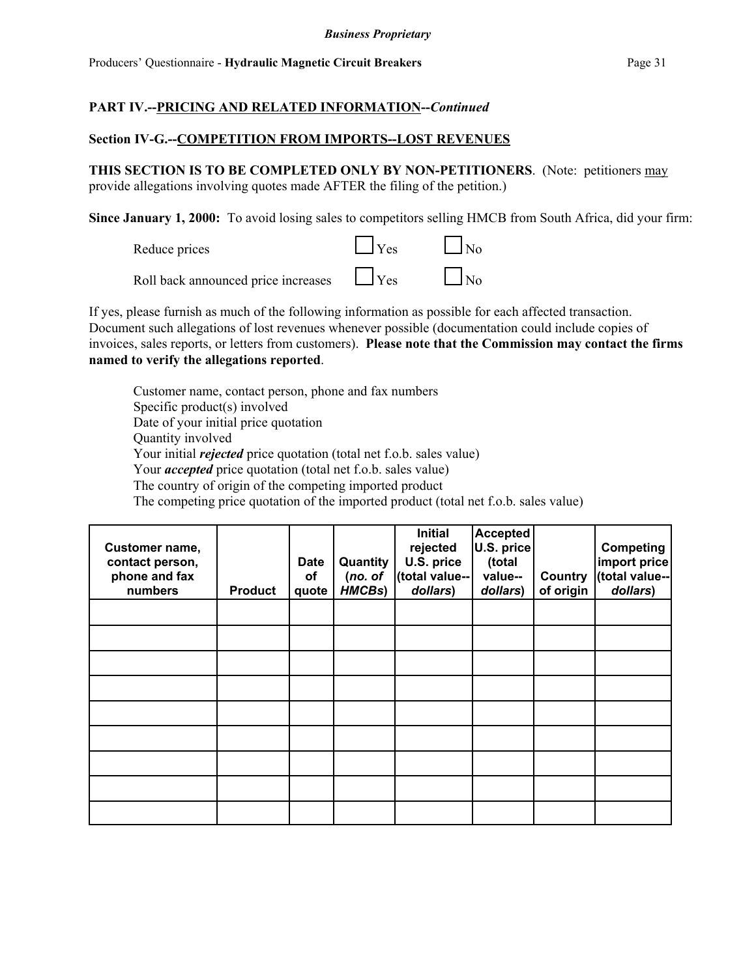## **PART IV.--PRICING AND RELATED INFORMATION--***Continued*

### **Section IV-G.--COMPETITION FROM IMPORTS--LOST REVENUES**

**THIS SECTION IS TO BE COMPLETED ONLY BY NON-PETITIONERS**. (Note: petitioners may provide allegations involving quotes made AFTER the filing of the petition.)

**Since January 1, 2000:** To avoid losing sales to competitors selling HMCB from South Africa, did your firm:

| Reduce prices                       | $\Box$ Yes        | $\vert$ $\vert$ No |
|-------------------------------------|-------------------|--------------------|
| Roll back announced price increases | $\sim$ $\Box$ Yes | $\Box$ No          |

If yes, please furnish as much of the following information as possible for each affected transaction. Document such allegations of lost revenues whenever possible (documentation could include copies of invoices, sales reports, or letters from customers). **Please note that the Commission may contact the firms named to verify the allegations reported**.

Customer name, contact person, phone and fax numbers Specific product(s) involved Date of your initial price quotation Quantity involved Your initial *rejected* price quotation (total net f.o.b. sales value) Your *accepted* price quotation (total net f.o.b. sales value) The country of origin of the competing imported product The competing price quotation of the imported product (total net f.o.b. sales value)

| Customer name,<br>contact person,<br>phone and fax<br>numbers | <b>Product</b> | <b>Date</b><br>οf<br>quote | Quantity<br>(no. of<br>HMCBs) | <b>Initial</b><br>rejected<br>U.S. price<br>(total value--<br>dollars) | <b>Accepted</b><br>U.S. price<br>(total<br>value--<br>dollars) | Country<br>of origin | <b>Competing</b><br>import price<br>(total value--<br>dollars) |
|---------------------------------------------------------------|----------------|----------------------------|-------------------------------|------------------------------------------------------------------------|----------------------------------------------------------------|----------------------|----------------------------------------------------------------|
|                                                               |                |                            |                               |                                                                        |                                                                |                      |                                                                |
|                                                               |                |                            |                               |                                                                        |                                                                |                      |                                                                |
|                                                               |                |                            |                               |                                                                        |                                                                |                      |                                                                |
|                                                               |                |                            |                               |                                                                        |                                                                |                      |                                                                |
|                                                               |                |                            |                               |                                                                        |                                                                |                      |                                                                |
|                                                               |                |                            |                               |                                                                        |                                                                |                      |                                                                |
|                                                               |                |                            |                               |                                                                        |                                                                |                      |                                                                |
|                                                               |                |                            |                               |                                                                        |                                                                |                      |                                                                |
|                                                               |                |                            |                               |                                                                        |                                                                |                      |                                                                |